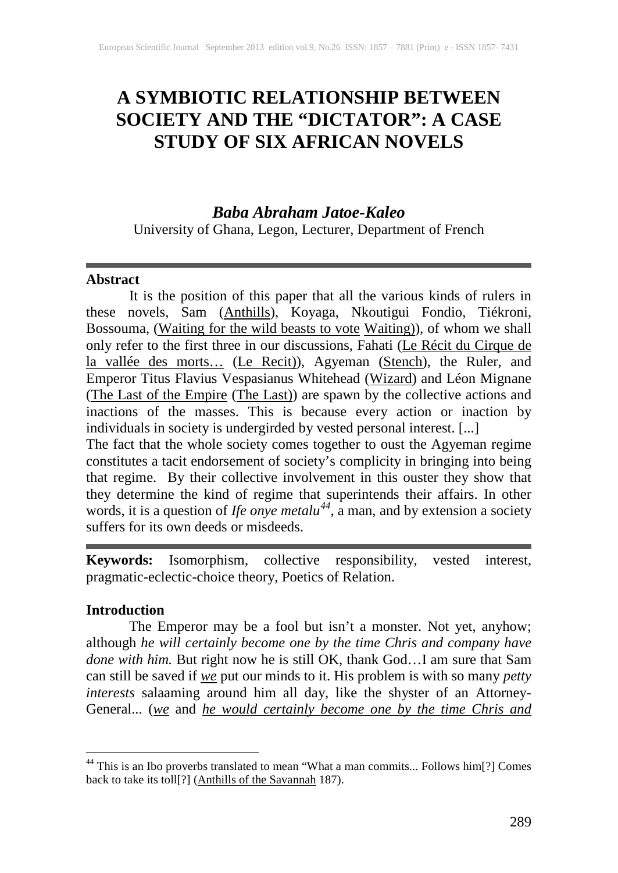# **A SYMBIOTIC RELATIONSHIP BETWEEN SOCIETY AND THE "DICTATOR": A CASE STUDY OF SIX AFRICAN NOVELS**

# *Baba Abraham Jatoe-Kaleo*

University of Ghana, Legon, Lecturer, Department of French

#### **Abstract**

It is the position of this paper that all the various kinds of rulers in these novels, Sam (Anthills), Koyaga, Nkoutigui Fondio, Tiékroni, Bossouma, (Waiting for the wild beasts to vote Waiting)), of whom we shall only refer to the first three in our discussions, Fahati (Le Récit du Cirque de la vallée des morts... (Le Recit)), Agyeman (Stench), the Ruler, and Emperor Titus Flavius Vespasianus Whitehead (Wizard) and Léon Mignane (The Last of the Empire (The Last)) are spawn by the collective actions and inactions of the masses. This is because every action or inaction by individuals in society is undergirded by vested personal interest. [...]

The fact that the whole society comes together to oust the Agyeman regime constitutes a tacit endorsement of society's complicity in bringing into being that regime. By their collective involvement in this ouster they show that they determine the kind of regime that superintends their affairs. In other words, it is a question of *Ife onye metalu[44](#page-0-0)*, a man, and by extension a society suffers for its own deeds or misdeeds.

**Keywords:** Isomorphism, collective responsibility, vested interest, pragmatic-eclectic-choice theory, Poetics of Relation.

## **Introduction**

The Emperor may be a fool but isn't a monster. Not yet, anyhow; although *he will certainly become one by the time Chris and company have done with him.* But right now he is still OK, thank God…I am sure that Sam can still be saved if *we* put our minds to it. His problem is with so many *petty interests* salaaming around him all day, like the shyster of an Attorney-General... (*we* and *he would certainly become one by the time Chris and* 

<span id="page-0-0"></span><sup>&</sup>lt;sup>44</sup> This is an Ibo proverbs translated to mean "What a man commits... Follows him[?] Comes back to take its toll<sup>[?]</sup> (Anthills of the Savannah 187).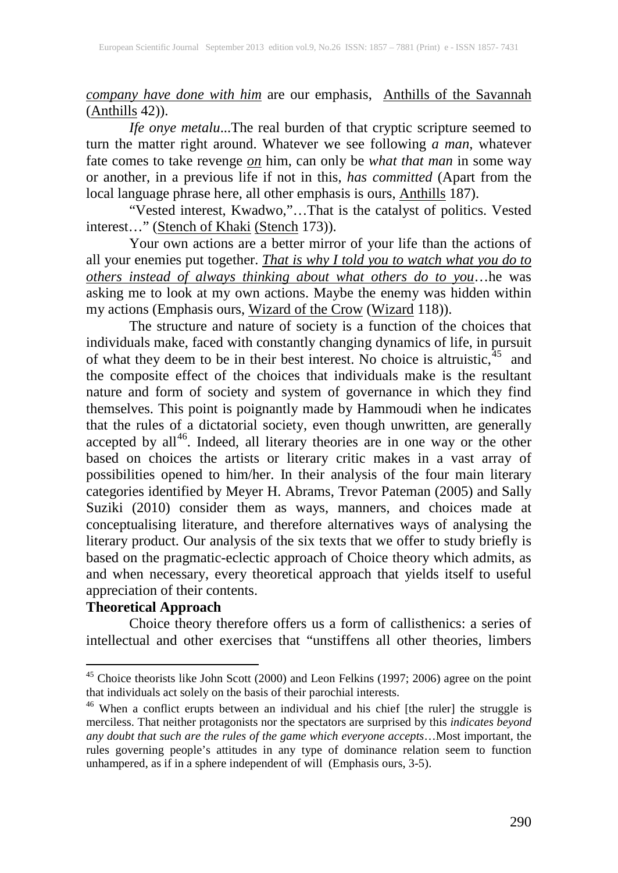*company have done with him* are our emphasis, Anthills of the Savannah  $(A$ nthills 42)).

*Ife onye metalu*...The real burden of that cryptic scripture seemed to turn the matter right around. Whatever we see following *a man*, whatever fate comes to take revenge *on* him, can only be *what that man* in some way or another, in a previous life if not in this, *has committed* (Apart from the local language phrase here, all other emphasis is ours, **Anthills** 187).

"Vested interest, Kwadwo,"…That is the catalyst of politics. Vested interest…" (Stench of Khaki (Stench 173)).

Your own actions are a better mirror of your life than the actions of all your enemies put together. *That is why I told you to watch what you do to others instead of always thinking about what others do to you*…he was asking me to look at my own actions. Maybe the enemy was hidden within my actions (Emphasis ours, Wizard of the Crow (Wizard 118)).

The structure and nature of society is a function of the choices that individuals make, faced with constantly changing dynamics of life, in pursuit of what they deem to be in their best interest. No choice is altruistic,  $45$  and the composite effect of the choices that individuals make is the resultant nature and form of society and system of governance in which they find themselves. This point is poignantly made by Hammoudi when he indicates that the rules of a dictatorial society, even though unwritten, are generally accepted by all<sup>[46](#page-1-1)</sup>. Indeed, all literary theories are in one way or the other based on choices the artists or literary critic makes in a vast array of possibilities opened to him/her. In their analysis of the four main literary categories identified by Meyer H. Abrams, Trevor Pateman (2005) and Sally Suziki (2010) consider them as ways, manners, and choices made at conceptualising literature, and therefore alternatives ways of analysing the literary product. Our analysis of the six texts that we offer to study briefly is based on the pragmatic-eclectic approach of Choice theory which admits, as and when necessary, every theoretical approach that yields itself to useful appreciation of their contents.

# **Theoretical Approach**

Choice theory therefore offers us a form of callisthenics: a series of intellectual and other exercises that "unstiffens all other theories, limbers

<span id="page-1-0"></span><sup>&</sup>lt;sup>45</sup> Choice theorists like John Scott (2000) and Leon Felkins (1997; 2006) agree on the point that individuals act solely on the basis of their parochial interests.

<span id="page-1-1"></span><sup>&</sup>lt;sup>46</sup> When a conflict erupts between an individual and his chief [the ruler] the struggle is merciless. That neither protagonists nor the spectators are surprised by this *indicates beyond any doubt that such are the rules of the game which everyone accepts*…Most important, the rules governing people's attitudes in any type of dominance relation seem to function unhampered, as if in a sphere independent of will (Emphasis ours, 3-5).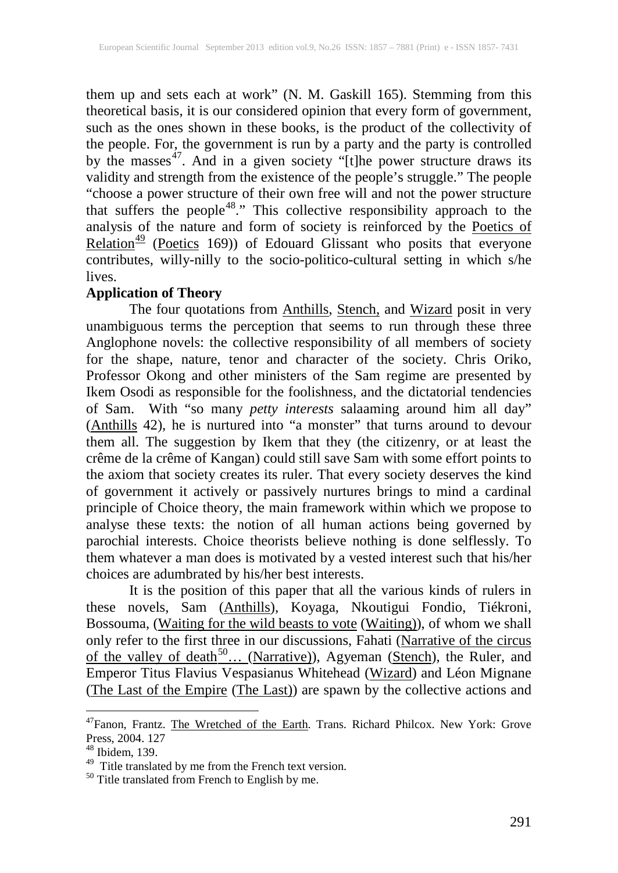them up and sets each at work" (N. M. Gaskill 165). Stemming from this theoretical basis, it is our considered opinion that every form of government, such as the ones shown in these books, is the product of the collectivity of the people. For, the government is run by a party and the party is controlled by the masses<sup>47</sup>. And in a given society "[t]he power structure draws its validity and strength from the existence of the people's struggle." The people "choose a power structure of their own free will and not the power structure that suffers the people<sup>48</sup>." This collective responsibility approach to the analysis of the nature and form of society is reinforced by the Poetics of Relation<sup>[49](#page-2-2)</sup> (Poetics 169)) of Edouard Glissant who posits that everyone contributes, willy-nilly to the socio-politico-cultural setting in which s/he lives.

## **Application of Theory**

The four quotations from **Anthills**, **Stench**, and **Wizard** posit in very unambiguous terms the perception that seems to run through these three Anglophone novels: the collective responsibility of all members of society for the shape, nature, tenor and character of the society. Chris Oriko, Professor Okong and other ministers of the Sam regime are presented by Ikem Osodi as responsible for the foolishness, and the dictatorial tendencies of Sam. With "so many *petty interests* salaaming around him all day" (Anthills 42), he is nurtured into "a monster" that turns around to devour them all. The suggestion by Ikem that they (the citizenry, or at least the crême de la crême of Kangan) could still save Sam with some effort points to the axiom that society creates its ruler. That every society deserves the kind of government it actively or passively nurtures brings to mind a cardinal principle of Choice theory, the main framework within which we propose to analyse these texts: the notion of all human actions being governed by parochial interests. Choice theorists believe nothing is done selflessly. To them whatever a man does is motivated by a vested interest such that his/her choices are adumbrated by his/her best interests.

It is the position of this paper that all the various kinds of rulers in these novels, Sam (Anthills), Koyaga, Nkoutigui Fondio, Tiékroni, Bossouma, (Waiting for the wild beasts to vote (Waiting)), of whom we shall only refer to the first three in our discussions, Fahati (Narrative of the circus of the valley of death<sup>[50](#page-2-3)</sup>... (Narrative)), Agyeman (Stench), the Ruler, and Emperor Titus Flavius Vespasianus Whitehead (Wizard) and Léon Mignane (The Last of the Empire (The Last)) are spawn by the collective actions and

<span id="page-2-0"></span><sup>&</sup>lt;sup>47</sup>Fanon, Frantz. The Wretched of the Earth. Trans. Richard Philcox. New York: Grove Press, 2004. 127

<span id="page-2-1"></span><sup>48</sup> Ibidem, 139.

<span id="page-2-3"></span><span id="page-2-2"></span> $^{49}$  Title translated by me from the French text version.<br><sup>50</sup> Title translated from French to English by me.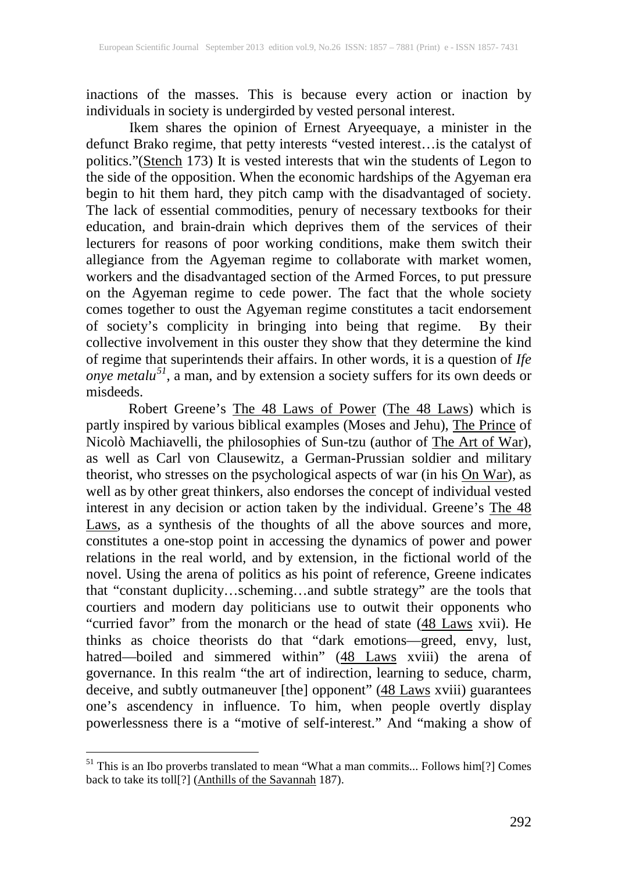inactions of the masses. This is because every action or inaction by individuals in society is undergirded by vested personal interest.

Ikem shares the opinion of Ernest Aryeequaye, a minister in the defunct Brako regime, that petty interests "vested interest…is the catalyst of politics."(Stench 173) It is vested interests that win the students of Legon to the side of the opposition. When the economic hardships of the Agyeman era begin to hit them hard, they pitch camp with the disadvantaged of society. The lack of essential commodities, penury of necessary textbooks for their education, and brain-drain which deprives them of the services of their lecturers for reasons of poor working conditions, make them switch their allegiance from the Agyeman regime to collaborate with market women, workers and the disadvantaged section of the Armed Forces, to put pressure on the Agyeman regime to cede power. The fact that the whole society comes together to oust the Agyeman regime constitutes a tacit endorsement of society's complicity in bringing into being that regime. By their collective involvement in this ouster they show that they determine the kind of regime that superintends their affairs. In other words, it is a question of *Ife onye metalu[51](#page-3-0)*, a man, and by extension a society suffers for its own deeds or misdeeds.

Robert Greene's The 48 Laws of Power (The 48 Laws) which is partly inspired by various biblical examples (Moses and Jehu), The Prince of Nicolò Machiavelli, the philosophies of Sun-tzu (author of The Art of War), as well as Carl von Clausewitz, a German-Prussian soldier and military theorist, who stresses on the psychological aspects of war (in his **On War**), as well as by other great thinkers, also endorses the concept of individual vested interest in any decision or action taken by the individual. Greene's The 48 Laws, as a synthesis of the thoughts of all the above sources and more, constitutes a one-stop point in accessing the dynamics of power and power relations in the real world, and by extension, in the fictional world of the novel. Using the arena of politics as his point of reference, Greene indicates that "constant duplicity…scheming…and subtle strategy" are the tools that courtiers and modern day politicians use to outwit their opponents who "curried favor" from the monarch or the head of state (48 Laws xvii). He thinks as choice theorists do that "dark emotions—greed, envy, lust, hatred—boiled and simmered within" (48 Laws xviii) the arena of governance. In this realm "the art of indirection, learning to seduce, charm, deceive, and subtly outmaneuver [the] opponent" (48 Laws xviii) guarantees one's ascendency in influence. To him, when people overtly display powerlessness there is a "motive of self-interest." And "making a show of

<span id="page-3-0"></span><sup>&</sup>lt;sup>51</sup> This is an Ibo proverbs translated to mean "What a man commits... Follows him[?] Comes back to take its toll<sup>[?]</sup> (Anthills of the Savannah 187).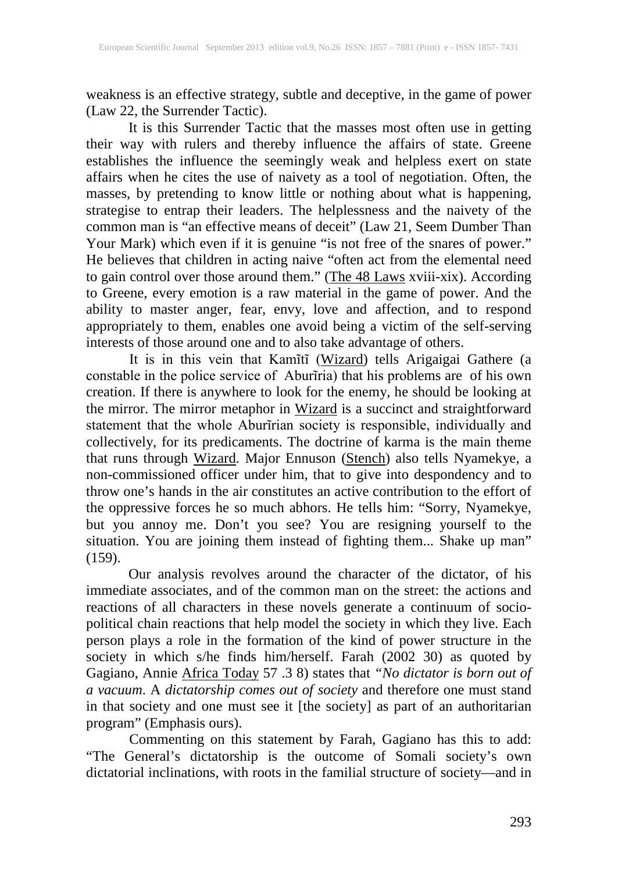weakness is an effective strategy, subtle and deceptive, in the game of power (Law 22, the Surrender Tactic).

It is this Surrender Tactic that the masses most often use in getting their way with rulers and thereby influence the affairs of state. Greene establishes the influence the seemingly weak and helpless exert on state affairs when he cites the use of naivety as a tool of negotiation. Often, the masses, by pretending to know little or nothing about what is happening, strategise to entrap their leaders. The helplessness and the naivety of the common man is "an effective means of deceit" (Law 21, Seem Dumber Than Your Mark) which even if it is genuine "is not free of the snares of power." He believes that children in acting naive "often act from the elemental need to gain control over those around them." (The 48 Laws xviii-xix). According to Greene, every emotion is a raw material in the game of power. And the ability to master anger, fear, envy, love and affection, and to respond appropriately to them, enables one avoid being a victim of the self-serving interests of those around one and to also take advantage of others.

It is in this vein that Kamĩtĩ (Wizard) tells Arigaigai Gathere (a constable in the police service of Aburĩria) that his problems are of his own creation. If there is anywhere to look for the enemy, he should be looking at the mirror. The mirror metaphor in Wizard is a succinct and straightforward statement that the whole Aburĩrian society is responsible, individually and collectively, for its predicaments. The doctrine of karma is the main theme that runs through Wizard. Major Ennuson (Stench) also tells Nyamekye, a non-commissioned officer under him, that to give into despondency and to throw one's hands in the air constitutes an active contribution to the effort of the oppressive forces he so much abhors. He tells him: "Sorry, Nyamekye, but you annoy me. Don't you see? You are resigning yourself to the situation. You are joining them instead of fighting them... Shake up man"  $(159).$ 

Our analysis revolves around the character of the dictator, of his immediate associates, and of the common man on the street: the actions and reactions of all characters in these novels generate a continuum of sociopolitical chain reactions that help model the society in which they live. Each person plays a role in the formation of the kind of power structure in the society in which s/he finds him/herself. Farah (2002 30) as quoted by Gagiano, Annie Africa Today 57 .3 8) states that *"No dictator is born out of a vacuum*. A *dictatorship comes out of society* and therefore one must stand in that society and one must see it [the society] as part of an authoritarian program" (Emphasis ours).

Commenting on this statement by Farah, Gagiano has this to add: "The General's dictatorship is the outcome of Somali society's own dictatorial inclinations, with roots in the familial structure of society—and in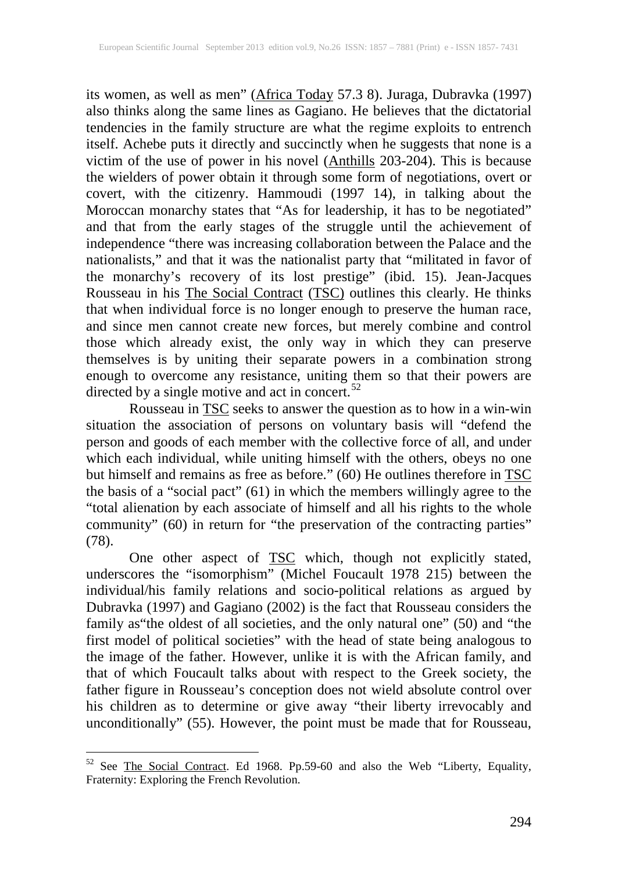its women, as well as men" (Africa Today 57.3 8). Juraga, Dubravka (1997) also thinks along the same lines as Gagiano. He believes that the dictatorial tendencies in the family structure are what the regime exploits to entrench itself. Achebe puts it directly and succinctly when he suggests that none is a victim of the use of power in his novel  $(A$ nthills 203-204). This is because the wielders of power obtain it through some form of negotiations, overt or covert, with the citizenry. Hammoudi (1997 14), in talking about the Moroccan monarchy states that "As for leadership, it has to be negotiated" and that from the early stages of the struggle until the achievement of independence "there was increasing collaboration between the Palace and the nationalists," and that it was the nationalist party that "militated in favor of the monarchy's recovery of its lost prestige" (ibid. 15). Jean-Jacques Rousseau in his The Social Contract (TSC) outlines this clearly. He thinks that when individual force is no longer enough to preserve the human race, and since men cannot create new forces, but merely combine and control those which already exist, the only way in which they can preserve themselves is by uniting their separate powers in a combination strong enough to overcome any resistance, uniting them so that their powers are directed by a single motive and act in concert.<sup>[52](#page-5-0)</sup>

Rousseau in **TSC** seeks to answer the question as to how in a win-win situation the association of persons on voluntary basis will "defend the person and goods of each member with the collective force of all, and under which each individual, while uniting himself with the others, obeys no one but himself and remains as free as before." (60) He outlines therefore in **TSC** the basis of a "social pact" (61) in which the members willingly agree to the "total alienation by each associate of himself and all his rights to the whole community" (60) in return for "the preservation of the contracting parties" (78).

One other aspect of **TSC** which, though not explicitly stated, underscores the "isomorphism" (Michel Foucault 1978 215) between the individual/his family relations and socio-political relations as argued by Dubravka (1997) and Gagiano (2002) is the fact that Rousseau considers the family as"the oldest of all societies, and the only natural one" (50) and "the first model of political societies" with the head of state being analogous to the image of the father. However, unlike it is with the African family, and that of which Foucault talks about with respect to the Greek society, the father figure in Rousseau's conception does not wield absolute control over his children as to determine or give away "their liberty irrevocably and unconditionally" (55). However, the point must be made that for Rousseau,

<span id="page-5-0"></span> <sup>52</sup> See The Social Contract. Ed 1968. Pp.59-60 and also the Web "Liberty, Equality, Fraternity: Exploring the French Revolution.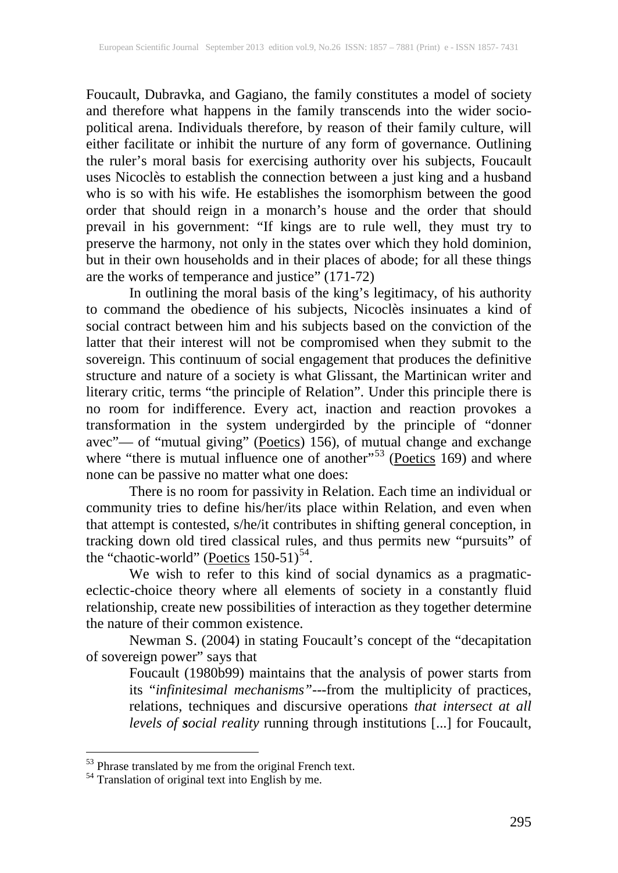Foucault, Dubravka, and Gagiano, the family constitutes a model of society and therefore what happens in the family transcends into the wider sociopolitical arena. Individuals therefore, by reason of their family culture, will either facilitate or inhibit the nurture of any form of governance. Outlining the ruler's moral basis for exercising authority over his subjects, Foucault uses Nicoclès to establish the connection between a just king and a husband who is so with his wife. He establishes the isomorphism between the good order that should reign in a monarch's house and the order that should prevail in his government: "If kings are to rule well, they must try to preserve the harmony, not only in the states over which they hold dominion, but in their own households and in their places of abode; for all these things are the works of temperance and justice" (171-72)

In outlining the moral basis of the king's legitimacy, of his authority to command the obedience of his subjects, Nicoclès insinuates a kind of social contract between him and his subjects based on the conviction of the latter that their interest will not be compromised when they submit to the sovereign. This continuum of social engagement that produces the definitive structure and nature of a society is what Glissant, the Martinican writer and literary critic, terms "the principle of Relation". Under this principle there is no room for indifference. Every act, inaction and reaction provokes a transformation in the system undergirded by the principle of "donner avec"— of "mutual giving" (Poetics) 156), of mutual change and exchange where "there is mutual influence one of another"<sup>[53](#page-6-0)</sup> (Poetics 169) and where none can be passive no matter what one does:

There is no room for passivity in Relation. Each time an individual or community tries to define his/her/its place within Relation, and even when that attempt is contested, s/he/it contributes in shifting general conception, in tracking down old tired classical rules, and thus permits new "pursuits" of the "chaotic-world" (Poetics  $150-51$ )<sup>[54](#page-6-1)</sup>.

We wish to refer to this kind of social dynamics as a pragmaticeclectic-choice theory where all elements of society in a constantly fluid relationship, create new possibilities of interaction as they together determine the nature of their common existence.

Newman S. (2004) in stating Foucault's concept of the "decapitation of sovereign power" says that

Foucault (1980b99) maintains that the analysis of power starts from its "*infinitesimal mechanisms"-*--from the multiplicity of practices, relations, techniques and discursive operations *that intersect at all levels of social reality* running through institutions [...] for Foucault,

<span id="page-6-0"></span> $53$  Phrase translated by me from the original French text.  $54$  Translation of original text into English by me.

<span id="page-6-1"></span>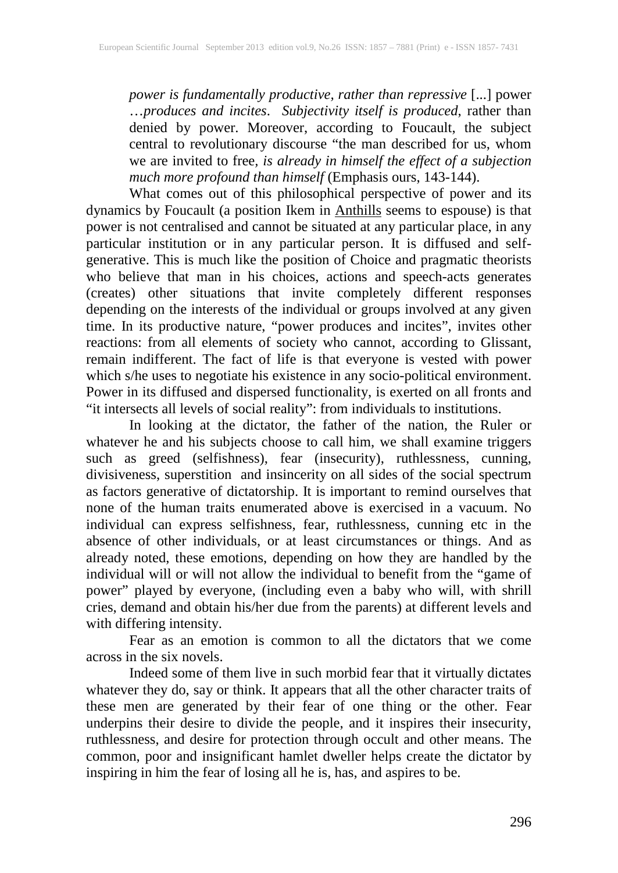*power is fundamentally productive, rather than repressive* [...] power …*produces and incites*. *Subjectivity itself is produced*, rather than denied by power. Moreover, according to Foucault, the subject central to revolutionary discourse "the man described for us, whom we are invited to free*, is already in himself the effect of a subjection much more profound than himself* (Emphasis ours, 143-144).

What comes out of this philosophical perspective of power and its dynamics by Foucault (a position Ikem in **Anthills** seems to espouse) is that power is not centralised and cannot be situated at any particular place, in any particular institution or in any particular person. It is diffused and selfgenerative. This is much like the position of Choice and pragmatic theorists who believe that man in his choices, actions and speech-acts generates (creates) other situations that invite completely different responses depending on the interests of the individual or groups involved at any given time. In its productive nature, "power produces and incites", invites other reactions: from all elements of society who cannot, according to Glissant, remain indifferent. The fact of life is that everyone is vested with power which s/he uses to negotiate his existence in any socio-political environment. Power in its diffused and dispersed functionality, is exerted on all fronts and "it intersects all levels of social reality": from individuals to institutions.

In looking at the dictator, the father of the nation, the Ruler or whatever he and his subjects choose to call him, we shall examine triggers such as greed (selfishness), fear (insecurity), ruthlessness, cunning, divisiveness, superstition and insincerity on all sides of the social spectrum as factors generative of dictatorship. It is important to remind ourselves that none of the human traits enumerated above is exercised in a vacuum. No individual can express selfishness, fear, ruthlessness, cunning etc in the absence of other individuals, or at least circumstances or things. And as already noted, these emotions, depending on how they are handled by the individual will or will not allow the individual to benefit from the "game of power" played by everyone, (including even a baby who will, with shrill cries, demand and obtain his/her due from the parents) at different levels and with differing intensity.

Fear as an emotion is common to all the dictators that we come across in the six novels.

Indeed some of them live in such morbid fear that it virtually dictates whatever they do, say or think. It appears that all the other character traits of these men are generated by their fear of one thing or the other. Fear underpins their desire to divide the people, and it inspires their insecurity, ruthlessness, and desire for protection through occult and other means. The common, poor and insignificant hamlet dweller helps create the dictator by inspiring in him the fear of losing all he is, has, and aspires to be.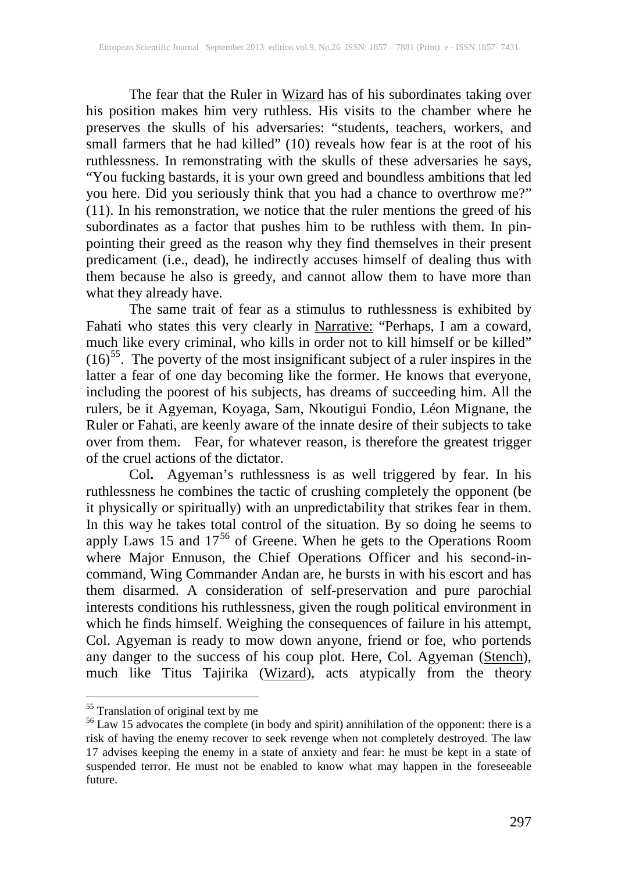The fear that the Ruler in Wizard has of his subordinates taking over his position makes him very ruthless. His visits to the chamber where he preserves the skulls of his adversaries: "students, teachers, workers, and small farmers that he had killed" (10) reveals how fear is at the root of his ruthlessness. In remonstrating with the skulls of these adversaries he says, "You fucking bastards, it is your own greed and boundless ambitions that led you here. Did you seriously think that you had a chance to overthrow me?"  $(11)$ . In his remonstration, we notice that the ruler mentions the greed of his subordinates as a factor that pushes him to be ruthless with them. In pinpointing their greed as the reason why they find themselves in their present predicament (i.e., dead), he indirectly accuses himself of dealing thus with them because he also is greedy, and cannot allow them to have more than what they already have.

The same trait of fear as a stimulus to ruthlessness is exhibited by Fahati who states this very clearly in Narrative: "Perhaps, I am a coward, much like every criminal, who kills in order not to kill himself or be killed"  $(16)$ <sup>55</sup>. The poverty of the most insignificant subject of a ruler inspires in the latter a fear of one day becoming like the former. He knows that everyone, including the poorest of his subjects, has dreams of succeeding him. All the rulers, be it Agyeman, Koyaga, Sam, Nkoutigui Fondio, Léon Mignane, the Ruler or Fahati, are keenly aware of the innate desire of their subjects to take over from them. Fear, for whatever reason, is therefore the greatest trigger of the cruel actions of the dictator.

Col**.** Agyeman's ruthlessness is as well triggered by fear. In his ruthlessness he combines the tactic of crushing completely the opponent (be it physically or spiritually) with an unpredictability that strikes fear in them. In this way he takes total control of the situation. By so doing he seems to apply Laws 15 and  $17^{56}$  $17^{56}$  $17^{56}$  of Greene. When he gets to the Operations Room where Major Ennuson, the Chief Operations Officer and his second-incommand, Wing Commander Andan are, he bursts in with his escort and has them disarmed. A consideration of self-preservation and pure parochial interests conditions his ruthlessness, given the rough political environment in which he finds himself. Weighing the consequences of failure in his attempt, Col. Agyeman is ready to mow down anyone, friend or foe, who portends any danger to the success of his coup plot. Here, Col. Agyeman (Stench), much like Titus Tajirika (Wizard), acts atypically from the theory

<span id="page-8-1"></span><span id="page-8-0"></span><sup>&</sup>lt;sup>55</sup> Translation of original text by me<br><sup>56</sup> Law 15 advocates the complete (in body and spirit) annihilation of the opponent: there is a risk of having the enemy recover to seek revenge when not completely destroyed. The law 17 advises keeping the enemy in a state of anxiety and fear: he must be kept in a state of suspended terror. He must not be enabled to know what may happen in the foreseeable future.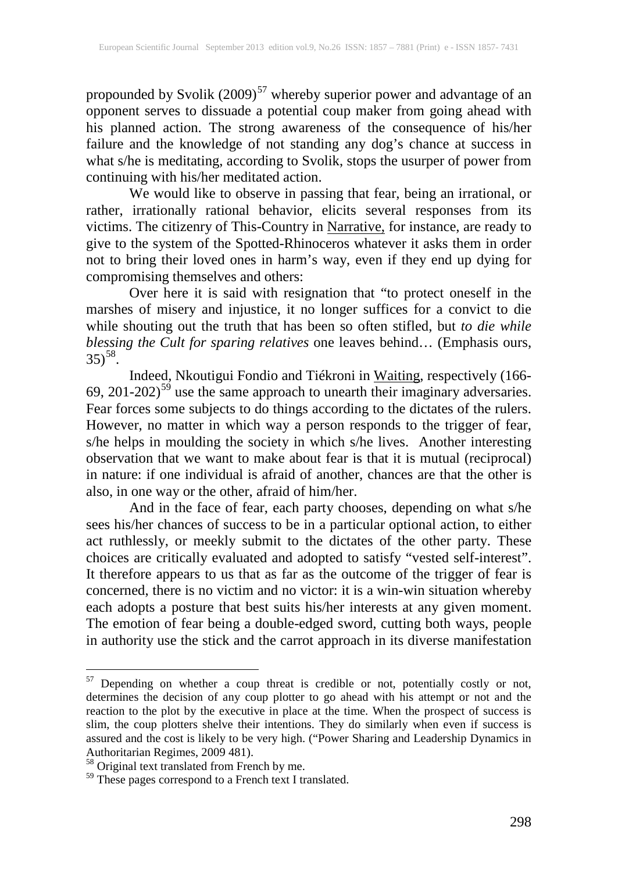propounded by Svolik  $(2009)^{57}$  $(2009)^{57}$  $(2009)^{57}$  whereby superior power and advantage of an opponent serves to dissuade a potential coup maker from going ahead with his planned action. The strong awareness of the consequence of his/her failure and the knowledge of not standing any dog's chance at success in what s/he is meditating, according to Svolik, stops the usurper of power from continuing with his/her meditated action.

We would like to observe in passing that fear, being an irrational, or rather, irrationally rational behavior, elicits several responses from its victims. The citizenry of This-Country in Narrative, for instance, are ready to give to the system of the Spotted-Rhinoceros whatever it asks them in order not to bring their loved ones in harm's way, even if they end up dying for compromising themselves and others:

Over here it is said with resignation that "to protect oneself in the marshes of misery and injustice, it no longer suffices for a convict to die while shouting out the truth that has been so often stifled, but *to die while blessing the Cult for sparing relatives* one leaves behind… (Emphasis ours,  $35^{58}$ .

Indeed, Nkoutigui Fondio and Tiékroni in Waiting, respectively (166- $69, 201-202$ <sup>[59](#page-9-2)</sup> use the same approach to unearth their imaginary adversaries. Fear forces some subjects to do things according to the dictates of the rulers. However, no matter in which way a person responds to the trigger of fear, s/he helps in moulding the society in which s/he lives. Another interesting observation that we want to make about fear is that it is mutual (reciprocal) in nature: if one individual is afraid of another, chances are that the other is also, in one way or the other, afraid of him/her.

And in the face of fear, each party chooses, depending on what s/he sees his/her chances of success to be in a particular optional action, to either act ruthlessly, or meekly submit to the dictates of the other party. These choices are critically evaluated and adopted to satisfy "vested self-interest". It therefore appears to us that as far as the outcome of the trigger of fear is concerned, there is no victim and no victor: it is a win-win situation whereby each adopts a posture that best suits his/her interests at any given moment. The emotion of fear being a double-edged sword, cutting both ways, people in authority use the stick and the carrot approach in its diverse manifestation

<span id="page-9-0"></span> <sup>57</sup> Depending on whether a coup threat is credible or not, potentially costly or not, determines the decision of any coup plotter to go ahead with his attempt or not and the reaction to the plot by the executive in place at the time. When the prospect of success is slim, the coup plotters shelve their intentions. They do similarly when even if success is assured and the cost is likely to be very high. ("Power Sharing and Leadership Dynamics in Authoritarian Regimes, 2009 481).

<span id="page-9-1"></span><sup>&</sup>lt;sup>58</sup> Original text translated from French by me.

<span id="page-9-2"></span><sup>&</sup>lt;sup>59</sup> These pages correspond to a French text I translated.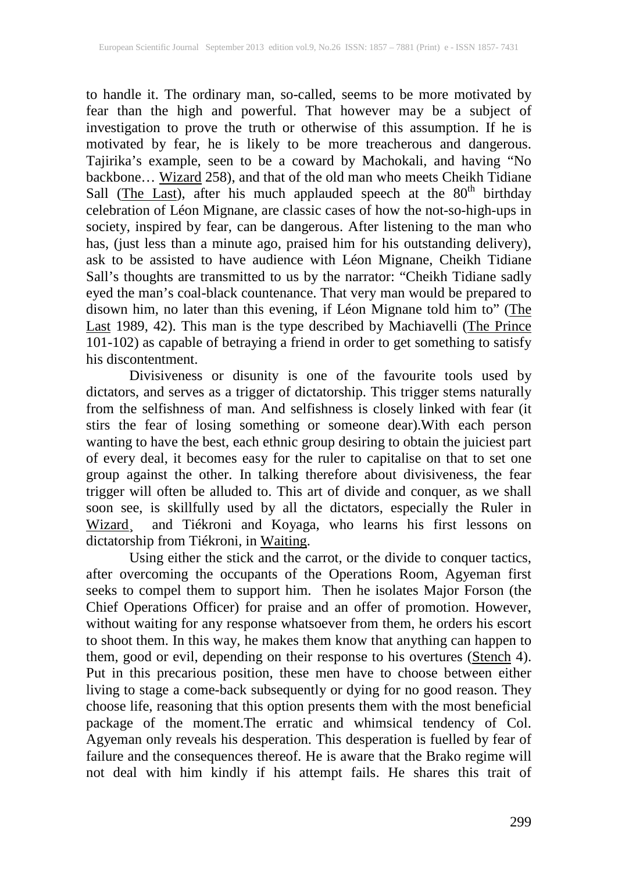to handle it. The ordinary man, so-called, seems to be more motivated by fear than the high and powerful. That however may be a subject of investigation to prove the truth or otherwise of this assumption. If he is motivated by fear, he is likely to be more treacherous and dangerous. Tajirika's example, seen to be a coward by Machokali, and having "No backbone... Wizard 258), and that of the old man who meets Cheikh Tidiane Sall (The Last), after his much applauded speech at the 80<sup>th</sup> birthday celebration of Léon Mignane, are classic cases of how the not-so-high-ups in society, inspired by fear, can be dangerous. After listening to the man who has, (just less than a minute ago, praised him for his outstanding delivery), ask to be assisted to have audience with Léon Mignane, Cheikh Tidiane Sall's thoughts are transmitted to us by the narrator: "Cheikh Tidiane sadly eyed the man's coal-black countenance. That very man would be prepared to disown him, no later than this evening, if Léon Mignane told him to" (The Last 1989, 42). This man is the type described by Machiavelli (The Prince 101-102) as capable of betraying a friend in order to get something to satisfy his discontentment.

Divisiveness or disunity is one of the favourite tools used by dictators, and serves as a trigger of dictatorship. This trigger stems naturally from the selfishness of man. And selfishness is closely linked with fear (it stirs the fear of losing something or someone dear).With each person wanting to have the best, each ethnic group desiring to obtain the juiciest part of every deal, it becomes easy for the ruler to capitalise on that to set one group against the other. In talking therefore about divisiveness, the fear trigger will often be alluded to. This art of divide and conquer, as we shall soon see, is skillfully used by all the dictators, especially the Ruler in Wizard, and Tiékroni and Koyaga, who learns his first lessons on dictatorship from Tiékroni, in Waiting.

Using either the stick and the carrot, or the divide to conquer tactics, after overcoming the occupants of the Operations Room, Agyeman first seeks to compel them to support him. Then he isolates Major Forson (the Chief Operations Officer) for praise and an offer of promotion. However, without waiting for any response whatsoever from them, he orders his escort to shoot them. In this way, he makes them know that anything can happen to them, good or evil, depending on their response to his overtures (Stench 4). Put in this precarious position, these men have to choose between either living to stage a come-back subsequently or dying for no good reason. They choose life, reasoning that this option presents them with the most beneficial package of the moment.The erratic and whimsical tendency of Col. Agyeman only reveals his desperation. This desperation is fuelled by fear of failure and the consequences thereof. He is aware that the Brako regime will not deal with him kindly if his attempt fails. He shares this trait of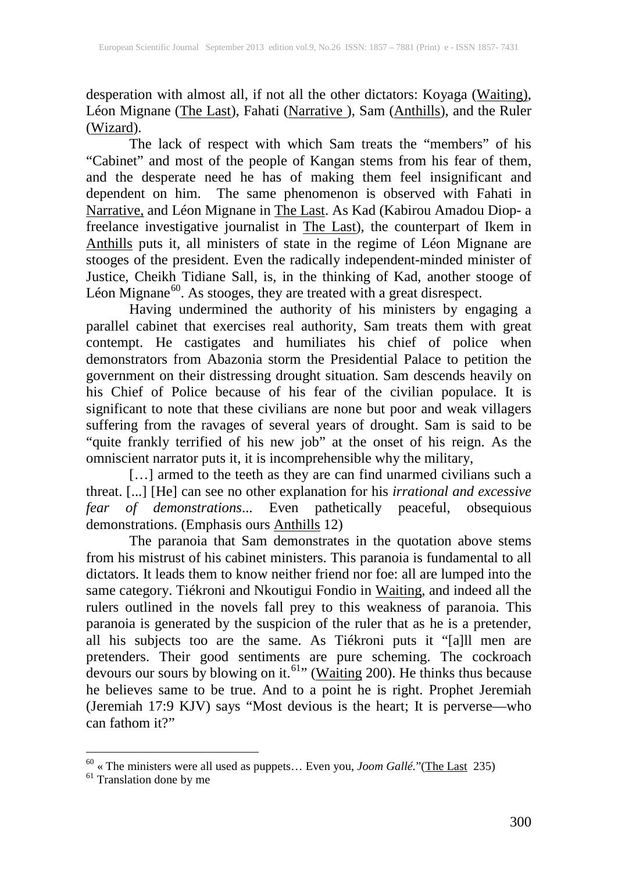desperation with almost all, if not all the other dictators: Koyaga (Waiting), Léon Mignane (The Last), Fahati (Narrative ), Sam (Anthills), and the Ruler (Wizard).

The lack of respect with which Sam treats the "members" of his "Cabinet" and most of the people of Kangan stems from his fear of them, and the desperate need he has of making them feel insignificant and dependent on him. The same phenomenon is observed with Fahati in Narrative, and Léon Mignane in The Last. As Kad (Kabirou Amadou Diop- a freelance investigative journalist in **The Last**), the counterpart of Ikem in Anthills puts it, all ministers of state in the regime of Léon Mignane are stooges of the president. Even the radically independent-minded minister of Justice, Cheikh Tidiane Sall, is, in the thinking of Kad, another stooge of Léon Mignane<sup>60</sup>. As stooges, they are treated with a great disrespect.

Having undermined the authority of his ministers by engaging a parallel cabinet that exercises real authority, Sam treats them with great contempt. He castigates and humiliates his chief of police when demonstrators from Abazonia storm the Presidential Palace to petition the government on their distressing drought situation. Sam descends heavily on his Chief of Police because of his fear of the civilian populace. It is significant to note that these civilians are none but poor and weak villagers suffering from the ravages of several years of drought. Sam is said to be "quite frankly terrified of his new job" at the onset of his reign. As the omniscient narrator puts it, it is incomprehensible why the military,

[...] armed to the teeth as they are can find unarmed civilians such a threat. [...] [He] can see no other explanation for his *irrational and excessive fear of demonstrations*... Even pathetically peaceful, obsequious demonstrations. (Emphasis ours **Anthills** 12)

The paranoia that Sam demonstrates in the quotation above stems from his mistrust of his cabinet ministers. This paranoia is fundamental to all dictators. It leads them to know neither friend nor foe: all are lumped into the same category. Tiékroni and Nkoutigui Fondio in Waiting, and indeed all the rulers outlined in the novels fall prey to this weakness of paranoia. This paranoia is generated by the suspicion of the ruler that as he is a pretender, all his subjects too are the same. As Tiékroni puts it "[a]ll men are pretenders. Their good sentiments are pure scheming. The cockroach devours our sours by blowing on it.<sup>[61](#page-11-1)</sup> (Waiting 200). He thinks thus because he believes same to be true. And to a point he is right. Prophet Jeremiah (Jeremiah 17:9 KJV) says "Most devious is the heart; It is perverse—who can fathom it?"

<span id="page-11-1"></span><span id="page-11-0"></span> $60^{\circ}$  « The ministers were all used as puppets... Even you, *Joom Gallé*."(<u>The Last</u> 235) <sup>61</sup> Translation done by me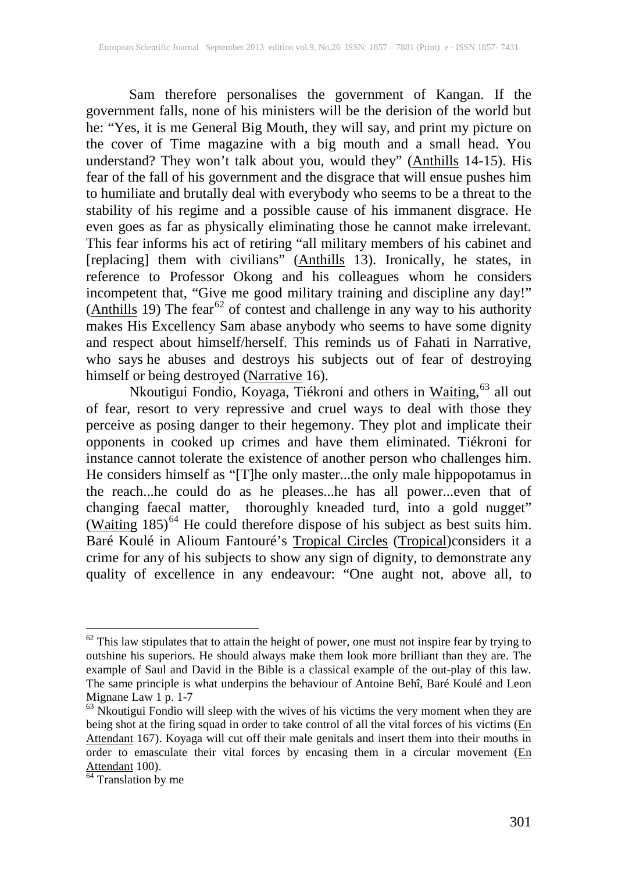Sam therefore personalises the government of Kangan. If the government falls, none of his ministers will be the derision of the world but he: "Yes, it is me General Big Mouth, they will say, and print my picture on the cover of Time magazine with a big mouth and a small head. You understand? They won't talk about you, would they" (Anthills 14-15). His fear of the fall of his government and the disgrace that will ensue pushes him to humiliate and brutally deal with everybody who seems to be a threat to the stability of his regime and a possible cause of his immanent disgrace. He even goes as far as physically eliminating those he cannot make irrelevant. This fear informs his act of retiring "all military members of his cabinet and [replacing] them with civilians" (Anthills 13). Ironically, he states, in reference to Professor Okong and his colleagues whom he considers incompetent that, "Give me good military training and discipline any day!"  $(Anthills 19)$  The fear<sup>[62](#page-12-0)</sup> of contest and challenge in any way to his authority makes His Excellency Sam abase anybody who seems to have some dignity and respect about himself/herself. This reminds us of Fahati in Narrative*,*  who says he abuses and destroys his subjects out of fear of destroying himself or being destroyed (Narrative 16).

Nkoutigui Fondio, Koyaga, Tiékroni and others in Waiting, [63](#page-12-1) all out of fear, resort to very repressive and cruel ways to deal with those they perceive as posing danger to their hegemony. They plot and implicate their opponents in cooked up crimes and have them eliminated. Tiékroni for instance cannot tolerate the existence of another person who challenges him. He considers himself as "[T]he only master...the only male hippopotamus in the reach...he could do as he pleases...he has all power...even that of changing faecal matter, thoroughly kneaded turd, into a gold nugget" (Waiting  $185$ )<sup>[64](#page-12-2)</sup> He could therefore dispose of his subject as best suits him. Baré Koulé in Alioum Fantouré's Tropical Circles (Tropical)considers it a crime for any of his subjects to show any sign of dignity, to demonstrate any quality of excellence in any endeavour: "One aught not, above all, to

<span id="page-12-0"></span> $62$  This law stipulates that to attain the height of power, one must not inspire fear by trying to outshine his superiors. He should always make them look more brilliant than they are. The example of Saul and David in the Bible is a classical example of the out-play of this law. The same principle is what underpins the behaviour of Antoine Behî, Baré Koulé and Leon Mignane Law 1 p. 1-7  $\frac{63}{100}$  Nkoutigui Fondio will sleep with the wives of his victims the very moment when they are

<span id="page-12-1"></span>being shot at the firing squad in order to take control of all the vital forces of his victims (En Attendant 167). Koyaga will cut off their male genitals and insert them into their mouths in order to emasculate their vital forces by encasing them in a circular movement  $(En)$ Attendant 100).<br><sup>64</sup> Translation by me

<span id="page-12-2"></span>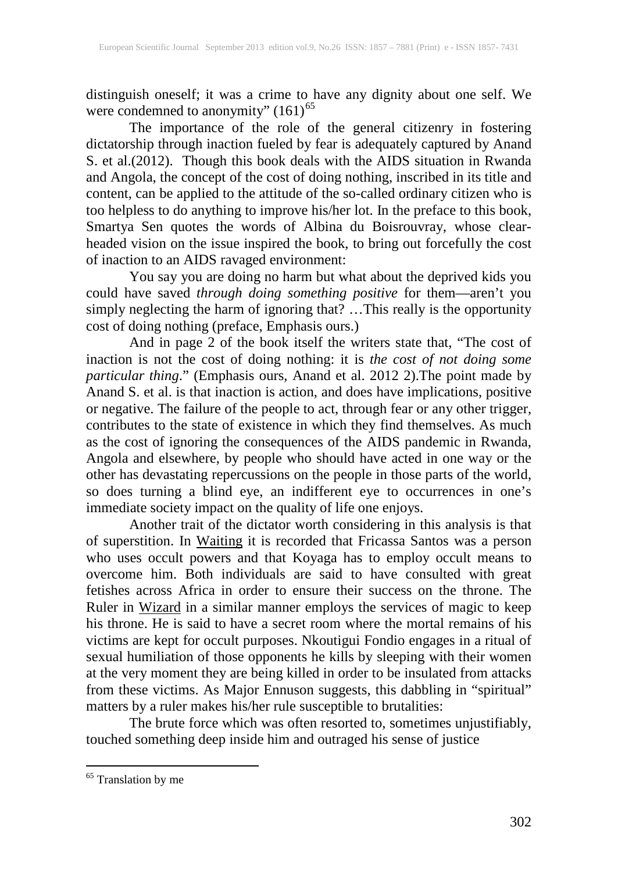distinguish oneself; it was a crime to have any dignity about one self. We were condemned to anonymity"  $(161)^{65}$  $(161)^{65}$  $(161)^{65}$ 

The importance of the role of the general citizenry in fostering dictatorship through inaction fueled by fear is adequately captured by Anand S. et al.(2012). Though this book deals with the AIDS situation in Rwanda and Angola, the concept of the cost of doing nothing, inscribed in its title and content, can be applied to the attitude of the so-called ordinary citizen who is too helpless to do anything to improve his/her lot. In the preface to this book, Smartya Sen quotes the words of Albina du Boisrouvray, whose clearheaded vision on the issue inspired the book, to bring out forcefully the cost of inaction to an AIDS ravaged environment:

You say you are doing no harm but what about the deprived kids you could have saved *through doing something positive* for them—aren't you simply neglecting the harm of ignoring that? …This really is the opportunity cost of doing nothing (preface, Emphasis ours.)

And in page 2 of the book itself the writers state that, "The cost of inaction is not the cost of doing nothing: it is *the cost of not doing some particular thing*." (Emphasis ours, Anand et al. 2012 2).The point made by Anand S. et al. is that inaction is action, and does have implications, positive or negative. The failure of the people to act, through fear or any other trigger, contributes to the state of existence in which they find themselves. As much as the cost of ignoring the consequences of the AIDS pandemic in Rwanda, Angola and elsewhere, by people who should have acted in one way or the other has devastating repercussions on the people in those parts of the world, so does turning a blind eye, an indifferent eye to occurrences in one's immediate society impact on the quality of life one enjoys.

Another trait of the dictator worth considering in this analysis is that of superstition. In Waiting it is recorded that Fricassa Santos was a person who uses occult powers and that Koyaga has to employ occult means to overcome him. Both individuals are said to have consulted with great fetishes across Africa in order to ensure their success on the throne. The Ruler in Wizard in a similar manner employs the services of magic to keep his throne. He is said to have a secret room where the mortal remains of his victims are kept for occult purposes. Nkoutigui Fondio engages in a ritual of sexual humiliation of those opponents he kills by sleeping with their women at the very moment they are being killed in order to be insulated from attacks from these victims. As Major Ennuson suggests, this dabbling in "spiritual" matters by a ruler makes his/her rule susceptible to brutalities:

The brute force which was often resorted to, sometimes unjustifiably, touched something deep inside him and outraged his sense of justice

<span id="page-13-0"></span> <sup>65</sup> Translation by me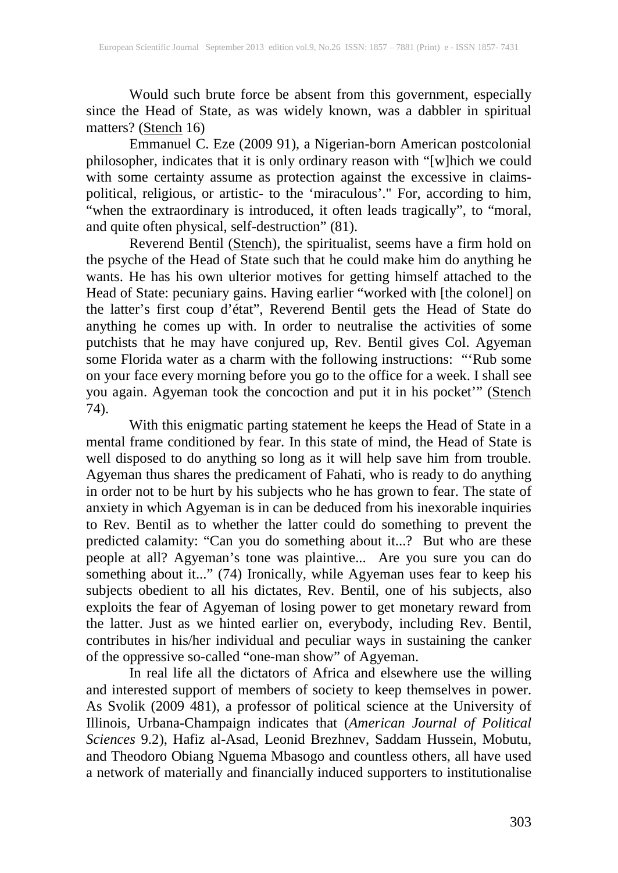Would such brute force be absent from this government, especially since the Head of State, as was widely known, was a dabbler in spiritual matters? (Stench 16)

Emmanuel C. Eze (2009 91), a Nigerian-born American postcolonial philosopher, indicates that it is only ordinary reason with "[w]hich we could with some certainty assume as protection against the excessive in claimspolitical, religious, or artistic- to the 'miraculous'." For, according to him, "when the extraordinary is introduced, it often leads tragically", to "moral, and quite often physical, self-destruction" (81).

Reverend Bentil (Stench), the spiritualist, seems have a firm hold on the psyche of the Head of State such that he could make him do anything he wants. He has his own ulterior motives for getting himself attached to the Head of State: pecuniary gains. Having earlier "worked with [the colonel] on the latter's first coup d'état", Reverend Bentil gets the Head of State do anything he comes up with. In order to neutralise the activities of some putchists that he may have conjured up, Rev. Bentil gives Col. Agyeman some Florida water as a charm with the following instructions: "'Rub some on your face every morning before you go to the office for a week. I shall see you again. Agyeman took the concoction and put it in his pocket'" (Stench 74).

With this enigmatic parting statement he keeps the Head of State in a mental frame conditioned by fear. In this state of mind, the Head of State is well disposed to do anything so long as it will help save him from trouble. Agyeman thus shares the predicament of Fahati, who is ready to do anything in order not to be hurt by his subjects who he has grown to fear. The state of anxiety in which Agyeman is in can be deduced from his inexorable inquiries to Rev. Bentil as to whether the latter could do something to prevent the predicted calamity: "Can you do something about it...? But who are these people at all? Agyeman's tone was plaintive... Are you sure you can do something about it..." (74) Ironically, while Agyeman uses fear to keep his subjects obedient to all his dictates, Rev. Bentil, one of his subjects, also exploits the fear of Agyeman of losing power to get monetary reward from the latter. Just as we hinted earlier on, everybody, including Rev. Bentil, contributes in his/her individual and peculiar ways in sustaining the canker of the oppressive so-called "one-man show" of Agyeman.

In real life all the dictators of Africa and elsewhere use the willing and interested support of members of society to keep themselves in power. As Svolik (2009 481), a professor of political science at the University of Illinois, Urbana-Champaign indicates that (*American Journal of Political Sciences* 9.2), Hafiz al-Asad, Leonid Brezhnev, Saddam Hussein, Mobutu, and Theodoro Obiang Nguema Mbasogo and countless others, all have used a network of materially and financially induced supporters to institutionalise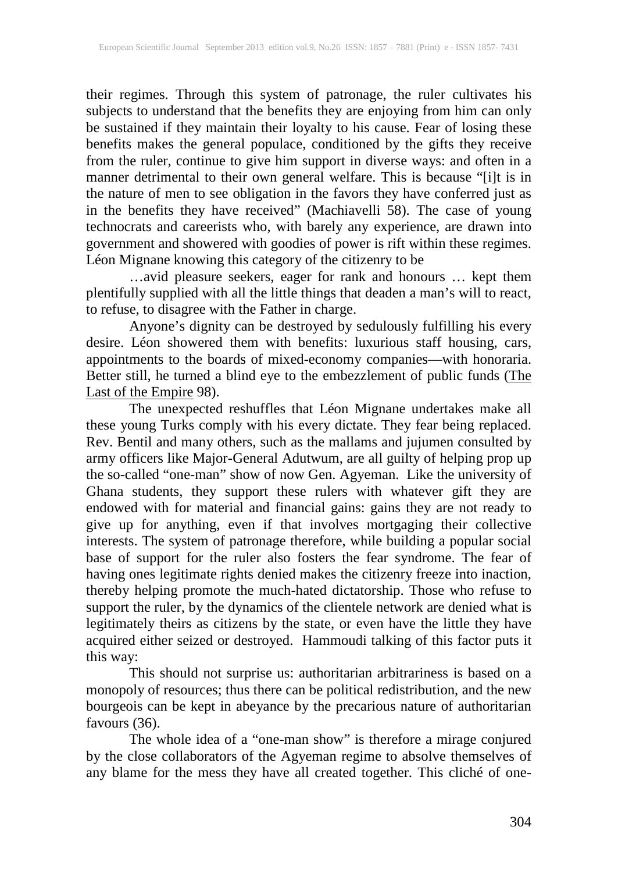their regimes. Through this system of patronage, the ruler cultivates his subjects to understand that the benefits they are enjoying from him can only be sustained if they maintain their loyalty to his cause. Fear of losing these benefits makes the general populace, conditioned by the gifts they receive from the ruler, continue to give him support in diverse ways: and often in a manner detrimental to their own general welfare. This is because "[i]t is in the nature of men to see obligation in the favors they have conferred just as in the benefits they have received" (Machiavelli 58). The case of young technocrats and careerists who, with barely any experience, are drawn into government and showered with goodies of power is rift within these regimes. Léon Mignane knowing this category of the citizenry to be

…avid pleasure seekers, eager for rank and honours … kept them plentifully supplied with all the little things that deaden a man's will to react, to refuse, to disagree with the Father in charge.

Anyone's dignity can be destroyed by sedulously fulfilling his every desire. Léon showered them with benefits: luxurious staff housing, cars, appointments to the boards of mixed-economy companies—with honoraria. Better still, he turned a blind eye to the embezzlement of public funds (The Last of the Empire 98).

The unexpected reshuffles that Léon Mignane undertakes make all these young Turks comply with his every dictate. They fear being replaced. Rev. Bentil and many others, such as the mallams and jujumen consulted by army officers like Major-General Adutwum, are all guilty of helping prop up the so-called "one-man" show of now Gen. Agyeman. Like the university of Ghana students, they support these rulers with whatever gift they are endowed with for material and financial gains: gains they are not ready to give up for anything, even if that involves mortgaging their collective interests. The system of patronage therefore, while building a popular social base of support for the ruler also fosters the fear syndrome. The fear of having ones legitimate rights denied makes the citizenry freeze into inaction, thereby helping promote the much-hated dictatorship. Those who refuse to support the ruler, by the dynamics of the clientele network are denied what is legitimately theirs as citizens by the state, or even have the little they have acquired either seized or destroyed. Hammoudi talking of this factor puts it this way:

This should not surprise us: authoritarian arbitrariness is based on a monopoly of resources; thus there can be political redistribution, and the new bourgeois can be kept in abeyance by the precarious nature of authoritarian favours (36).

The whole idea of a "one-man show" is therefore a mirage conjured by the close collaborators of the Agyeman regime to absolve themselves of any blame for the mess they have all created together. This cliché of one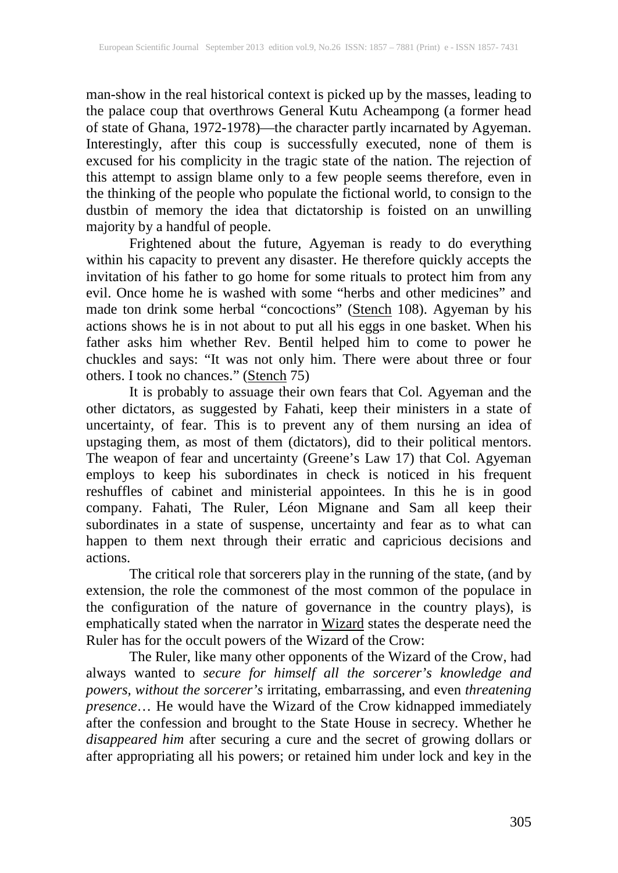man-show in the real historical context is picked up by the masses, leading to the palace coup that overthrows General Kutu Acheampong (a former head of state of Ghana, 1972-1978)—the character partly incarnated by Agyeman. Interestingly, after this coup is successfully executed, none of them is excused for his complicity in the tragic state of the nation. The rejection of this attempt to assign blame only to a few people seems therefore, even in the thinking of the people who populate the fictional world, to consign to the dustbin of memory the idea that dictatorship is foisted on an unwilling majority by a handful of people.

Frightened about the future, Agyeman is ready to do everything within his capacity to prevent any disaster. He therefore quickly accepts the invitation of his father to go home for some rituals to protect him from any evil. Once home he is washed with some "herbs and other medicines" and made ton drink some herbal "concoctions" (Stench 108). Agyeman by his actions shows he is in not about to put all his eggs in one basket. When his father asks him whether Rev. Bentil helped him to come to power he chuckles and says: "It was not only him. There were about three or four others. I took no chances." (Stench 75)

It is probably to assuage their own fears that Col. Agyeman and the other dictators, as suggested by Fahati, keep their ministers in a state of uncertainty, of fear. This is to prevent any of them nursing an idea of upstaging them, as most of them (dictators), did to their political mentors. The weapon of fear and uncertainty (Greene's Law 17) that Col. Agyeman employs to keep his subordinates in check is noticed in his frequent reshuffles of cabinet and ministerial appointees. In this he is in good company. Fahati, The Ruler, Léon Mignane and Sam all keep their subordinates in a state of suspense, uncertainty and fear as to what can happen to them next through their erratic and capricious decisions and actions.

The critical role that sorcerers play in the running of the state, (and by extension, the role the commonest of the most common of the populace in the configuration of the nature of governance in the country plays), is emphatically stated when the narrator in Wizard states the desperate need the Ruler has for the occult powers of the Wizard of the Crow:

The Ruler, like many other opponents of the Wizard of the Crow, had always wanted to *secure for himself all the sorcerer's knowledge and powers, without the sorcerer's* irritating, embarrassing, and even *threatening presence*… He would have the Wizard of the Crow kidnapped immediately after the confession and brought to the State House in secrecy. Whether he *disappeared him* after securing a cure and the secret of growing dollars or after appropriating all his powers; or retained him under lock and key in the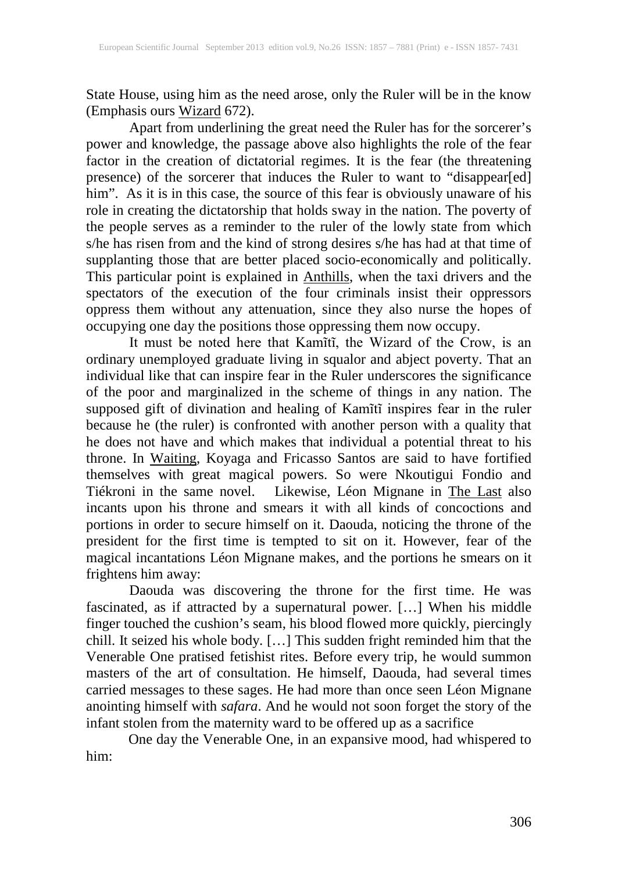State House, using him as the need arose, only the Ruler will be in the know (Emphasis ours **Wizard** 672).

Apart from underlining the great need the Ruler has for the sorcerer's power and knowledge, the passage above also highlights the role of the fear factor in the creation of dictatorial regimes. It is the fear (the threatening presence) of the sorcerer that induces the Ruler to want to "disappear[ed] him". As it is in this case, the source of this fear is obviously unaware of his role in creating the dictatorship that holds sway in the nation. The poverty of the people serves as a reminder to the ruler of the lowly state from which s/he has risen from and the kind of strong desires s/he has had at that time of supplanting those that are better placed socio-economically and politically. This particular point is explained in **Anthills**, when the taxi drivers and the spectators of the execution of the four criminals insist their oppressors oppress them without any attenuation, since they also nurse the hopes of occupying one day the positions those oppressing them now occupy.

It must be noted here that Kamĩtĩ, the Wizard of the Crow, is an ordinary unemployed graduate living in squalor and abject poverty. That an individual like that can inspire fear in the Ruler underscores the significance of the poor and marginalized in the scheme of things in any nation. The supposed gift of divination and healing of Kamĩtĩ inspires fear in the ruler because he (the ruler) is confronted with another person with a quality that he does not have and which makes that individual a potential threat to his throne. In Waiting, Koyaga and Fricasso Santos are said to have fortified themselves with great magical powers. So were Nkoutigui Fondio and Tiékroni in the same novel. Likewise, Léon Mignane in The Last also incants upon his throne and smears it with all kinds of concoctions and portions in order to secure himself on it. Daouda, noticing the throne of the president for the first time is tempted to sit on it. However, fear of the magical incantations Léon Mignane makes, and the portions he smears on it frightens him away:

Daouda was discovering the throne for the first time. He was fascinated, as if attracted by a supernatural power. […] When his middle finger touched the cushion's seam, his blood flowed more quickly, piercingly chill. It seized his whole body. […] This sudden fright reminded him that the Venerable One pratised fetishist rites. Before every trip, he would summon masters of the art of consultation. He himself, Daouda, had several times carried messages to these sages. He had more than once seen Léon Mignane anointing himself with *safara*. And he would not soon forget the story of the infant stolen from the maternity ward to be offered up as a sacrifice

One day the Venerable One, in an expansive mood, had whispered to him: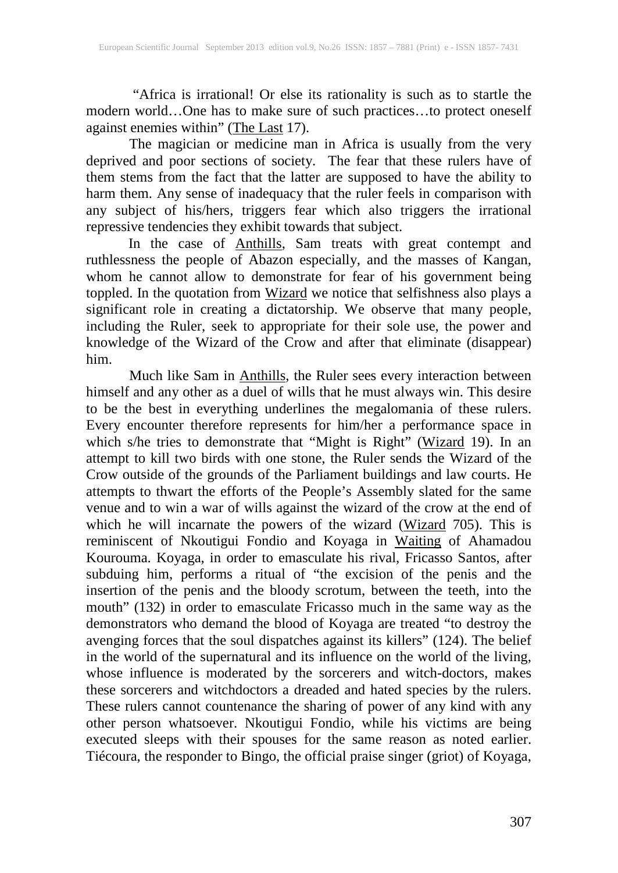"Africa is irrational! Or else its rationality is such as to startle the modern world...One has to make sure of such practices...to protect oneself modern world…One has to make sure of such practices…to protect oneself against enemies within" (The Last 17).

The magician or medicine man in Africa is usually from the very deprived and poor sections of society. The fear that these rulers have of them stems from the fact that the latter are supposed to have the ability to harm them. Any sense of inadequacy that the ruler feels in comparison with any subject of his/hers, triggers fear which also triggers the irrational repressive tendencies they exhibit towards that subject.

In the case of **Anthills**, Sam treats with great contempt and ruthlessness the people of Abazon especially, and the masses of Kangan, whom he cannot allow to demonstrate for fear of his government being toppled. In the quotation from Wizard we notice that selfishness also plays a significant role in creating a dictatorship. We observe that many people, including the Ruler, seek to appropriate for their sole use, the power and knowledge of the Wizard of the Crow and after that eliminate (disappear) him.

Much like Sam in **Anthills**, the Ruler sees every interaction between himself and any other as a duel of wills that he must always win. This desire to be the best in everything underlines the megalomania of these rulers. Every encounter therefore represents for him/her a performance space in which s/he tries to demonstrate that "Might is Right" (Wizard 19). In an attempt to kill two birds with one stone, the Ruler sends the Wizard of the Crow outside of the grounds of the Parliament buildings and law courts. He attempts to thwart the efforts of the People's Assembly slated for the same venue and to win a war of wills against the wizard of the crow at the end of which he will incarnate the powers of the wizard (Wizard 705). This is reminiscent of Nkoutigui Fondio and Koyaga in Waiting of Ahamadou Kourouma. Koyaga, in order to emasculate his rival, Fricasso Santos, after subduing him, performs a ritual of "the excision of the penis and the insertion of the penis and the bloody scrotum, between the teeth, into the mouth" (132) in order to emasculate Fricasso much in the same way as the demonstrators who demand the blood of Koyaga are treated "to destroy the avenging forces that the soul dispatches against its killers" (124). The belief in the world of the supernatural and its influence on the world of the living, whose influence is moderated by the sorcerers and witch-doctors, makes these sorcerers and witchdoctors a dreaded and hated species by the rulers. These rulers cannot countenance the sharing of power of any kind with any other person whatsoever. Nkoutigui Fondio, while his victims are being executed sleeps with their spouses for the same reason as noted earlier. Tiécoura, the responder to Bingo, the official praise singer (griot) of Koyaga,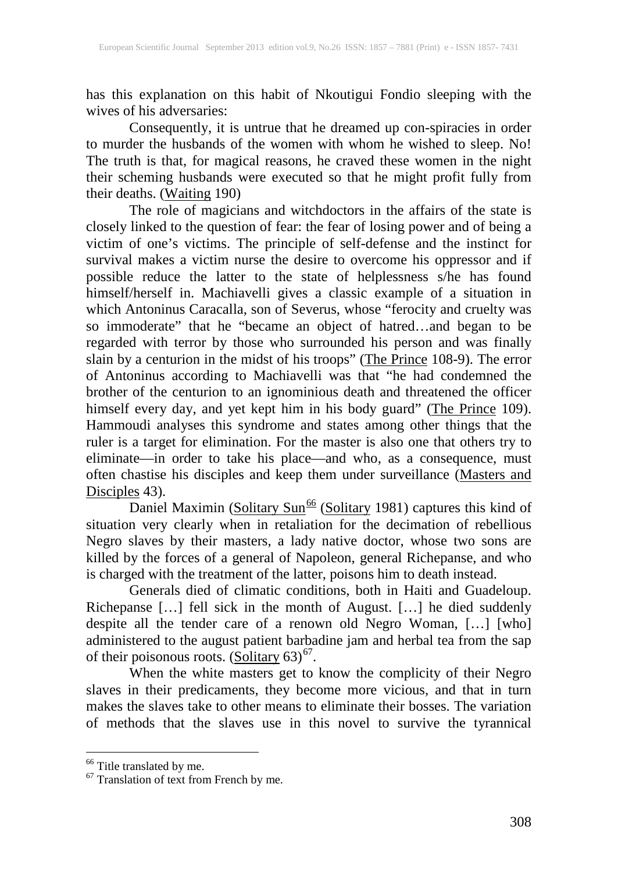has this explanation on this habit of Nkoutigui Fondio sleeping with the wives of his adversaries:

Consequently, it is untrue that he dreamed up con-spiracies in order to murder the husbands of the women with whom he wished to sleep. No! The truth is that, for magical reasons, he craved these women in the night their scheming husbands were executed so that he might profit fully from their deaths. (Waiting 190)

The role of magicians and witchdoctors in the affairs of the state is closely linked to the question of fear: the fear of losing power and of being a victim of one's victims. The principle of self-defense and the instinct for survival makes a victim nurse the desire to overcome his oppressor and if possible reduce the latter to the state of helplessness s/he has found himself/herself in. Machiavelli gives a classic example of a situation in which Antoninus Caracalla, son of Severus, whose "ferocity and cruelty was so immoderate" that he "became an object of hatred…and began to be regarded with terror by those who surrounded his person and was finally slain by a centurion in the midst of his troops" (The Prince 108-9). The error of Antoninus according to Machiavelli was that "he had condemned the brother of the centurion to an ignominious death and threatened the officer himself every day, and yet kept him in his body guard" (The Prince 109). Hammoudi analyses this syndrome and states among other things that the ruler is a target for elimination. For the master is also one that others try to eliminate—in order to take his place—and who, as a consequence, must often chastise his disciples and keep them under surveillance (Masters and Disciples 43).

Daniel Maximin (Solitary Sun<sup>[66](#page-19-0)</sup> (Solitary 1981) captures this kind of situation very clearly when in retaliation for the decimation of rebellious Negro slaves by their masters, a lady native doctor, whose two sons are killed by the forces of a general of Napoleon, general Richepanse, and who is charged with the treatment of the latter, poisons him to death instead.

Generals died of climatic conditions, both in Haiti and Guadeloup. Richepanse […] fell sick in the month of August. […] he died suddenly despite all the tender care of a renown old Negro Woman, […] [who] administered to the august patient barbadine jam and herbal tea from the sap of their poisonous roots.  $(Solitary 63)^{67}$  $(Solitary 63)^{67}$  $(Solitary 63)^{67}$ .

When the white masters get to know the complicity of their Negro slaves in their predicaments, they become more vicious, and that in turn makes the slaves take to other means to eliminate their bosses. The variation of methods that the slaves use in this novel to survive the tyrannical

<span id="page-19-1"></span><span id="page-19-0"></span><sup>&</sup>lt;sup>66</sup> Title translated by me.<br><sup>67</sup> Translation of text from French by me.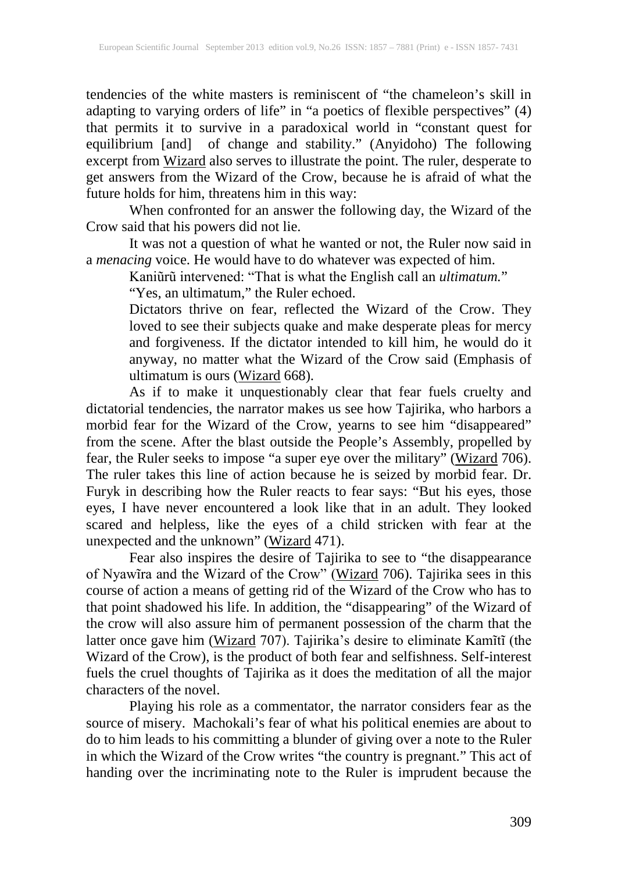tendencies of the white masters is reminiscent of "the chameleon's skill in adapting to varying orders of life" in "a poetics of flexible perspectives" (4) that permits it to survive in a paradoxical world in "constant quest for equilibrium [and] of change and stability." (Anyidoho) The following excerpt from Wizard also serves to illustrate the point. The ruler, desperate to get answers from the Wizard of the Crow, because he is afraid of what the future holds for him, threatens him in this way:

When confronted for an answer the following day, the Wizard of the Crow said that his powers did not lie.

It was not a question of what he wanted or not, the Ruler now said in a *menacing* voice. He would have to do whatever was expected of him.

Kaniũrũ intervened: "That is what the English call an *ultimatum.*"

"Yes, an ultimatum," the Ruler echoed.

Dictators thrive on fear, reflected the Wizard of the Crow. They loved to see their subjects quake and make desperate pleas for mercy and forgiveness. If the dictator intended to kill him, he would do it anyway, no matter what the Wizard of the Crow said (Emphasis of ultimatum is ours (Wizard 668).

As if to make it unquestionably clear that fear fuels cruelty and dictatorial tendencies, the narrator makes us see how Tajirika, who harbors a morbid fear for the Wizard of the Crow, yearns to see him "disappeared" from the scene. After the blast outside the People's Assembly, propelled by fear, the Ruler seeks to impose "a super eye over the military" (Wizard 706). The ruler takes this line of action because he is seized by morbid fear. Dr. Furyk in describing how the Ruler reacts to fear says: "But his eyes, those eyes, I have never encountered a look like that in an adult. They looked scared and helpless, like the eyes of a child stricken with fear at the scared and helpless, like the eyes of a child stricken with fear at the unexpected and the unknown" (Wizard 471).

Fear also inspires the desire of Tajirika to see to "the disappearance of Nyawîra and the Wizard of the Crow" (Wizard 706). Tajirika sees in this course of action a means of getting rid of the Wizard of the Crow who has to that point shadowed his life. In addition, the "disappearing" of the Wizard of the crow will also assure him of permanent possession of the charm that the latter once gave him (Wizard 707). Tajirika's desire to eliminate Kamĩtĩ (the Wizard of the Crow), is the product of both fear and selfishness. Self-interest fuels the cruel thoughts of Tajirika as it does the meditation of all the major characters of the novel.

Playing his role as a commentator, the narrator considers fear as the source of misery. Machokali's fear of what his political enemies are about to do to him leads to his committing a blunder of giving over a note to the Ruler in which the Wizard of the Crow writes "the country is pregnant." This act of handing over the incriminating note to the Ruler is imprudent because the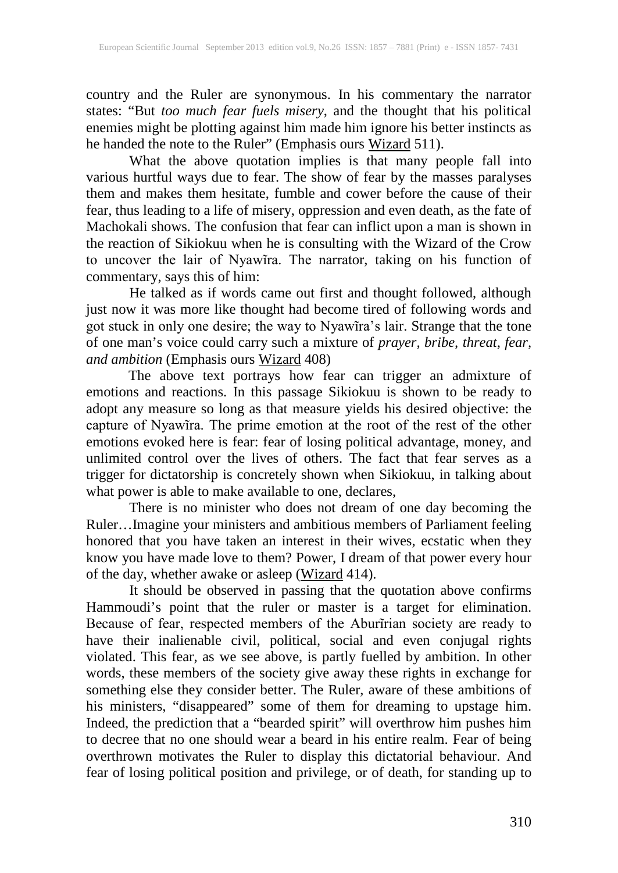country and the Ruler are synonymous. In his commentary the narrator states: "But *too much fear fuels misery*, and the thought that his political enemies might be plotting against him made him ignore his better instincts as he handed the note to the Ruler" (Emphasis ours Wizard 511).

What the above quotation implies is that many people fall into various hurtful ways due to fear. The show of fear by the masses paralyses them and makes them hesitate, fumble and cower before the cause of their fear, thus leading to a life of misery, oppression and even death, as the fate of Machokali shows. The confusion that fear can inflict upon a man is shown in the reaction of Sikiokuu when he is consulting with the Wizard of the Crow to uncover the lair of Nyawīra. The narrator, taking on his function of commentary, says this of him:

He talked as if words came out first and thought followed, although just now it was more like thought had become tired of following words and got stuck in only one desire; the way to Nyawĩra's lair. Strange that the tone of one man's voice could carry such a mixture of *prayer, bribe, threat, fear, and ambition* (Emphasis ours Wizard 408)

The above text portrays how fear can trigger an admixture of emotions and reactions. In this passage Sikiokuu is shown to be ready to adopt any measure so long as that measure yields his desired objective: the capture of Nyawĩra. The prime emotion at the root of the rest of the other emotions evoked here is fear: fear of losing political advantage, money, and unlimited control over the lives of others. The fact that fear serves as a trigger for dictatorship is concretely shown when Sikiokuu, in talking about what power is able to make available to one, declares,

There is no minister who does not dream of one day becoming the Ruler…Imagine your ministers and ambitious members of Parliament feeling honored that you have taken an interest in their wives, ecstatic when they know you have made love to them? Power, I dream of that power every hour of the day, whether awake or asleep (Wizard 414).

It should be observed in passing that the quotation above confirms Hammoudi's point that the ruler or master is a target for elimination. Because of fear, respected members of the Aburĩrian society are ready to have their inalienable civil, political, social and even conjugal rights violated. This fear, as we see above, is partly fuelled by ambition. In other words, these members of the society give away these rights in exchange for something else they consider better. The Ruler, aware of these ambitions of his ministers, "disappeared" some of them for dreaming to upstage him. Indeed, the prediction that a "bearded spirit" will overthrow him pushes him to decree that no one should wear a beard in his entire realm. Fear of being overthrown motivates the Ruler to display this dictatorial behaviour. And fear of losing political position and privilege, or of death, for standing up to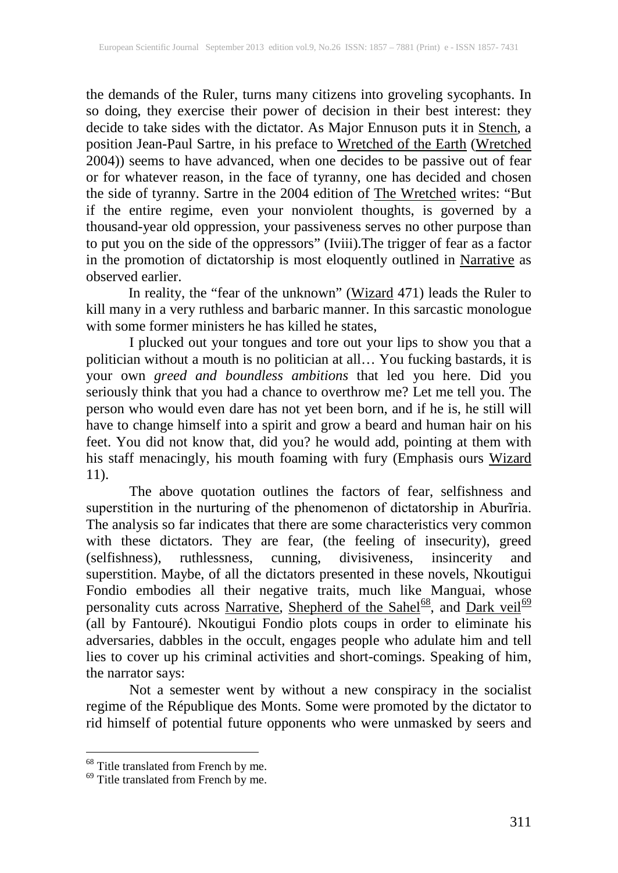the demands of the Ruler, turns many citizens into groveling sycophants. In so doing, they exercise their power of decision in their best interest: they decide to take sides with the dictator. As Major Ennuson puts it in Stench, a position Jean-Paul Sartre, in his preface to Wretched of the Earth (Wretched 2004)) seems to have advanced, when one decides to be passive out of fear or for whatever reason, in the face of tyranny, one has decided and chosen the side of tyranny. Sartre in the 2004 edition of **The Wretched** writes: "But if the entire regime, even your nonviolent thoughts, is governed by a thousand-year old oppression, your passiveness serves no other purpose than to put you on the side of the oppressors" (Iviii).The trigger of fear as a factor in the promotion of dictatorship is most eloquently outlined in Narrative as observed earlier.

In reality, the "fear of the unknown" (Wizard 471) leads the Ruler to kill many in a very ruthless and barbaric manner. In this sarcastic monologue with some former ministers he has killed he states,

I plucked out your tongues and tore out your lips to show you that a politician without a mouth is no politician at all… You fucking bastards, it is your own *greed and boundless ambitions* that led you here. Did you seriously think that you had a chance to overthrow me? Let me tell you. The person who would even dare has not yet been born, and if he is, he still will have to change himself into a spirit and grow a beard and human hair on his feet. You did not know that, did you? he would add, pointing at them with his staff menacingly, his mouth foaming with fury (Emphasis ours Wizard 11).

The above quotation outlines the factors of fear, selfishness and superstition in the nurturing of the phenomenon of dictatorship in Aburĩria. The analysis so far indicates that there are some characteristics very common with these dictators. They are fear, (the feeling of insecurity), greed (selfishness), ruthlessness, cunning, divisiveness, insincerity and superstition. Maybe, of all the dictators presented in these novels, Nkoutigui Fondio embodies all their negative traits, much like Manguai, whose personality cuts across Narrative, Shepherd of the Sahel<sup>68</sup>, and Dark veil<sup>[69](#page-22-1)</sup> (all by Fantouré). Nkoutigui Fondio plots coups in order to eliminate his adversaries, dabbles in the occult, engages people who adulate him and tell lies to cover up his criminal activities and short-comings. Speaking of him, the narrator says:

Not a semester went by without a new conspiracy in the socialist regime of the République des Monts. Some were promoted by the dictator to rid himself of potential future opponents who were unmasked by seers and

<span id="page-22-1"></span><span id="page-22-0"></span> $68$  Title translated from French by me.<br> $69$  Title translated from French by me.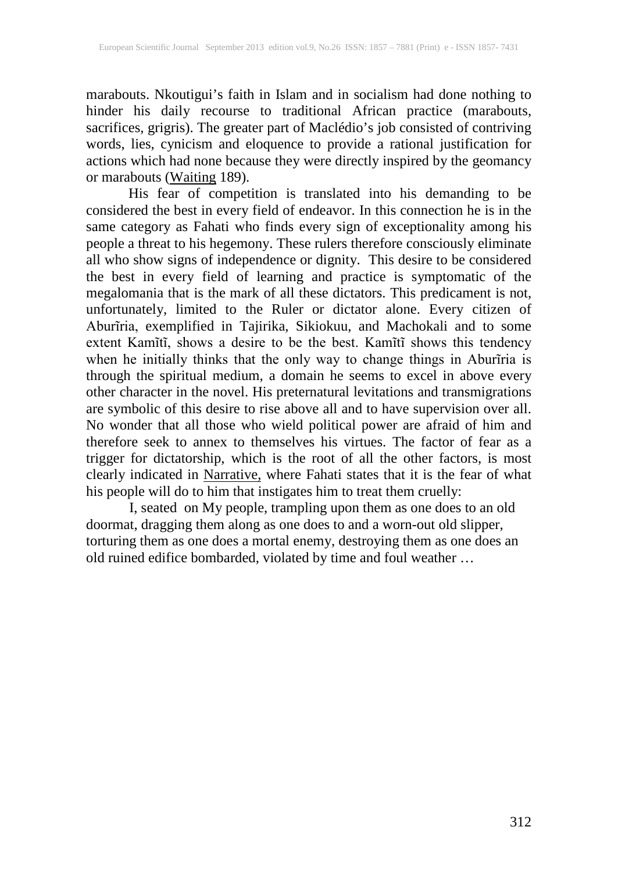marabouts. Nkoutigui's faith in Islam and in socialism had done nothing to hinder his daily recourse to traditional African practice (marabouts, sacrifices, grigris). The greater part of Maclédio's job consisted of contriving words, lies, cynicism and eloquence to provide a rational justification for actions which had none because they were directly inspired by the geomancy or marabouts (Waiting 189).

His fear of competition is translated into his demanding to be considered the best in every field of endeavor. In this connection he is in the same category as Fahati who finds every sign of exceptionality among his people a threat to his hegemony. These rulers therefore consciously eliminate all who show signs of independence or dignity. This desire to be considered the best in every field of learning and practice is symptomatic of the megalomania that is the mark of all these dictators. This predicament is not, unfortunately, limited to the Ruler or dictator alone. Every citizen of Aburĩria, exemplified in Tajirika, Sikiokuu, and Machokali and to some extent Kamĩtĩ, shows a desire to be the best. Kamĩtĩ shows this tendency when he initially thinks that the only way to change things in Aburĩria is through the spiritual medium, a domain he seems to excel in above every other character in the novel. His preternatural levitations and transmigrations are symbolic of this desire to rise above all and to have supervision over all. No wonder that all those who wield political power are afraid of him and therefore seek to annex to themselves his virtues. The factor of fear as a trigger for dictatorship, which is the root of all the other factors, is most clearly indicated in Narrative, where Fahati states that it is the fear of what his people will do to him that instigates him to treat them cruelly:

I, seated on My people, trampling upon them as one does to an old doormat, dragging them along as one does to and a worn-out old slipper, torturing them as one does a mortal enemy, destroying them as one does an old ruined edifice bombarded, violated by time and foul weather …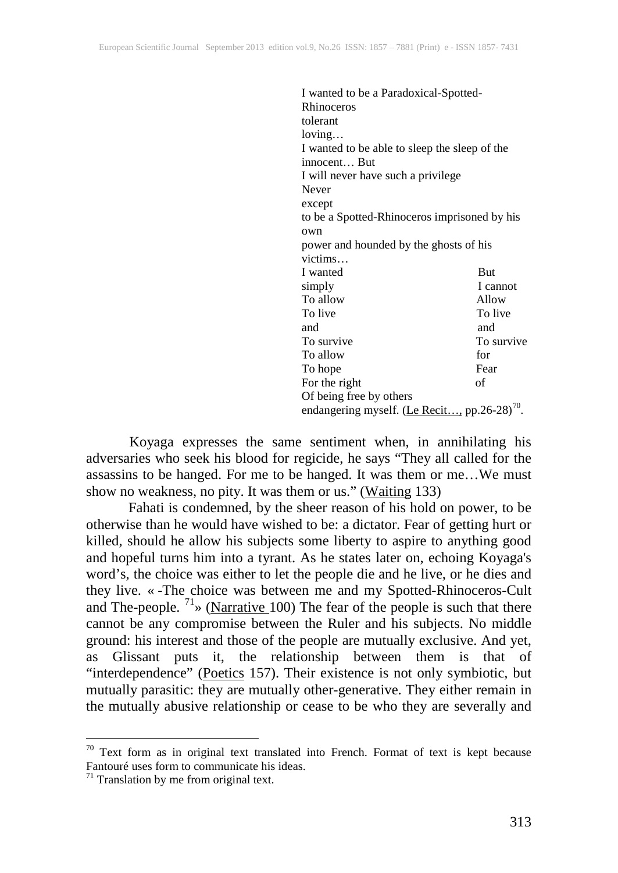| I wanted to be a Paradoxical-Spotted-         |            |
|-----------------------------------------------|------------|
| Rhinoceros                                    |            |
| tolerant                                      |            |
| loving                                        |            |
| I wanted to be able to sleep the sleep of the |            |
| innocent But                                  |            |
| I will never have such a privilege            |            |
| Never                                         |            |
| except                                        |            |
| to be a Spotted-Rhinoceros imprisoned by his  |            |
| own                                           |            |
| power and hounded by the ghosts of his        |            |
| victims                                       |            |
| I wanted                                      | But        |
| simply                                        | I cannot   |
| To allow                                      | Allow      |
| To live                                       | To live    |
| and                                           | and        |
| To survive                                    | To survive |
| To allow                                      | for        |
| To hope                                       | Fear       |
| For the right                                 | of         |
| Of being free by others                       |            |
| endangering myself. (Le Recit, pp.26-28)      |            |

Koyaga expresses the same sentiment when, in annihilating his adversaries who seek his blood for regicide, he says "They all called for the assassins to be hanged. For me to be hanged. It was them or me…We must show no weakness, no pity. It was them or us." (Waiting 133)

Fahati is condemned, by the sheer reason of his hold on power, to be otherwise than he would have wished to be: a dictator. Fear of getting hurt or killed, should he allow his subjects some liberty to aspire to anything good and hopeful turns him into a tyrant. As he states later on, echoing Koyaga's word's, the choice was either to let the people die and he live, or he dies and they live. « -The choice was between me and my Spotted-Rhinoceros-Cult and The-people.  $1\frac{1}{2}$  (Narrative 100) The fear of the people is such that there cannot be any compromise between the Ruler and his subjects. No middle ground: his interest and those of the people are mutually exclusive. And yet, as Glissant puts it, the relationship between them is that of "interdependence" (Poetics 157). Their existence is not only symbiotic, but mutually parasitic: they are mutually other-generative. They either remain in the mutually abusive relationship or cease to be who they are severally and

<span id="page-24-0"></span> $\overline{a}$ <sup>70</sup> Text form as in original text translated into French. Format of text is kept because Fantouré uses form to communicate his ideas.

<span id="page-24-1"></span> $71$  Translation by me from original text.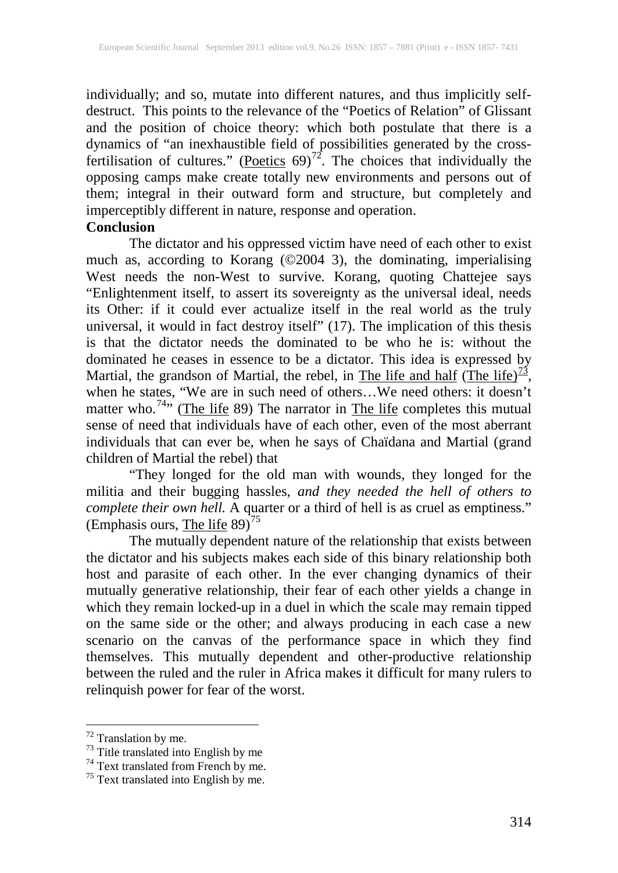individually; and so, mutate into different natures, and thus implicitly selfdestruct. This points to the relevance of the "Poetics of Relation" of Glissant and the position of choice theory: which both postulate that there is a dynamics of "an inexhaustible field of possibilities generated by the crossfertilisation of cultures." (Poetics  $69$ )<sup>72</sup>. The choices that individually the opposing camps make create totally new environments and persons out of them; integral in their outward form and structure, but completely and imperceptibly different in nature, response and operation.

## **Conclusion**

The dictator and his oppressed victim have need of each other to exist much as, according to Korang (©2004 3), the dominating, imperialising West needs the non-West to survive. Korang, quoting Chattejee says "Enlightenment itself, to assert its sovereignty as the universal ideal, needs its Other: if it could ever actualize itself in the real world as the truly universal, it would in fact destroy itself" (17). The implication of this thesis is that the dictator needs the dominated to be who he is: without the dominated he ceases in essence to be a dictator. This idea is expressed by Martial, the grandson of Martial, the rebel, in The life and half (The life) $\frac{73}{2}$  $\frac{73}{2}$  $\frac{73}{2}$ , when he states, "We are in such need of others…We need others: it doesn't matter who.<sup>[74](#page-25-2)</sup>" (The life 89) The narrator in The life completes this mutual sense of need that individuals have of each other, even of the most aberrant individuals that can ever be, when he says of Chaïdana and Martial (grand children of Martial the rebel) that

"They longed for the old man with wounds, they longed for the militia and their bugging hassles, *and they needed the hell of others to complete their own hell.* A quarter or a third of hell is as cruel as emptiness." (Emphasis ours, The life  $89)^{75}$  $89)^{75}$  $89)^{75}$ 

The mutually dependent nature of the relationship that exists between the dictator and his subjects makes each side of this binary relationship both host and parasite of each other. In the ever changing dynamics of their mutually generative relationship, their fear of each other yields a change in which they remain locked-up in a duel in which the scale may remain tipped on the same side or the other; and always producing in each case a new scenario on the canvas of the performance space in which they find themselves. This mutually dependent and other-productive relationship between the ruled and the ruler in Africa makes it difficult for many rulers to relinquish power for fear of the worst.

<span id="page-25-2"></span><span id="page-25-1"></span>

<span id="page-25-0"></span><sup>&</sup>lt;sup>72</sup> Translation by me.<br><sup>73</sup> Title translated into English by me  $^{74}$  Text translated from French by me.<br><sup>75</sup> Text translated into English by me.

<span id="page-25-3"></span>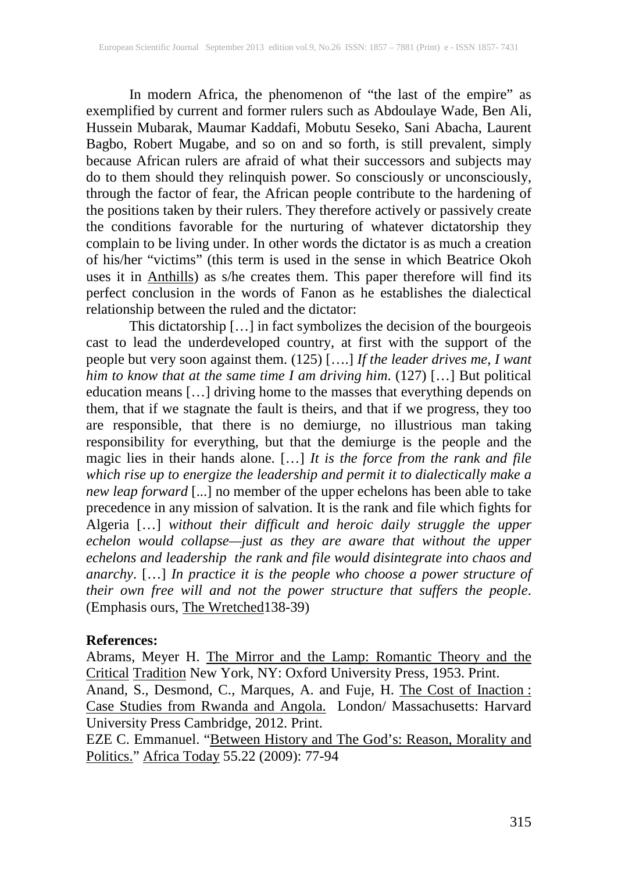In modern Africa, the phenomenon of "the last of the empire" as exemplified by current and former rulers such as Abdoulaye Wade, Ben Ali, Hussein Mubarak, Maumar Kaddafi, Mobutu Seseko, Sani Abacha, Laurent Bagbo, Robert Mugabe, and so on and so forth, is still prevalent, simply because African rulers are afraid of what their successors and subjects may do to them should they relinquish power. So consciously or unconsciously, through the factor of fear, the African people contribute to the hardening of the positions taken by their rulers. They therefore actively or passively create the conditions favorable for the nurturing of whatever dictatorship they complain to be living under. In other words the dictator is as much a creation of his/her "victims" (this term is used in the sense in which Beatrice Okoh uses it in **Anthills**) as s/he creates them. This paper therefore will find its perfect conclusion in the words of Fanon as he establishes the dialectical relationship between the ruled and the dictator:

This dictatorship […] in fact symbolizes the decision of the bourgeois cast to lead the underdeveloped country, at first with the support of the people but very soon against them. (125) [….] *If the leader drives me, I want him to know that at the same time I am driving him*. (127) […] But political education means […] driving home to the masses that everything depends on them, that if we stagnate the fault is theirs, and that if we progress, they too are responsible, that there is no demiurge, no illustrious man taking responsibility for everything, but that the demiurge is the people and the magic lies in their hands alone. […] *It is the force from the rank and file which rise up to energize the leadership and permit it to dialectically make a new leap forward* [...] no member of the upper echelons has been able to take precedence in any mission of salvation. It is the rank and file which fights for Algeria […] *without their difficult and heroic daily struggle the upper echelon would collapse—just as they are aware that without the upper echelons and leadership the rank and file would disintegrate into chaos and anarchy*. […] *In practice it is the people who choose a power structure of their own free will and not the power structure that suffers the people*. (Emphasis ours, The Wretched138-39)

#### **References:**

Abrams, Meyer H. The Mirror and the Lamp: Romantic Theory and the Critical Tradition New York, NY: Oxford University Press, 1953. Print.

Anand, S., Desmond, C., Marques, A. and Fuje, H. The Cost of Inaction: Case Studies from Rwanda and Angola. London/ Massachusetts: Harvard University Press Cambridge, 2012. Print.

EZE C. Emmanuel. "Between History and The God's: Reason, Morality and Politics." Africa Today 55.22 (2009): 77-94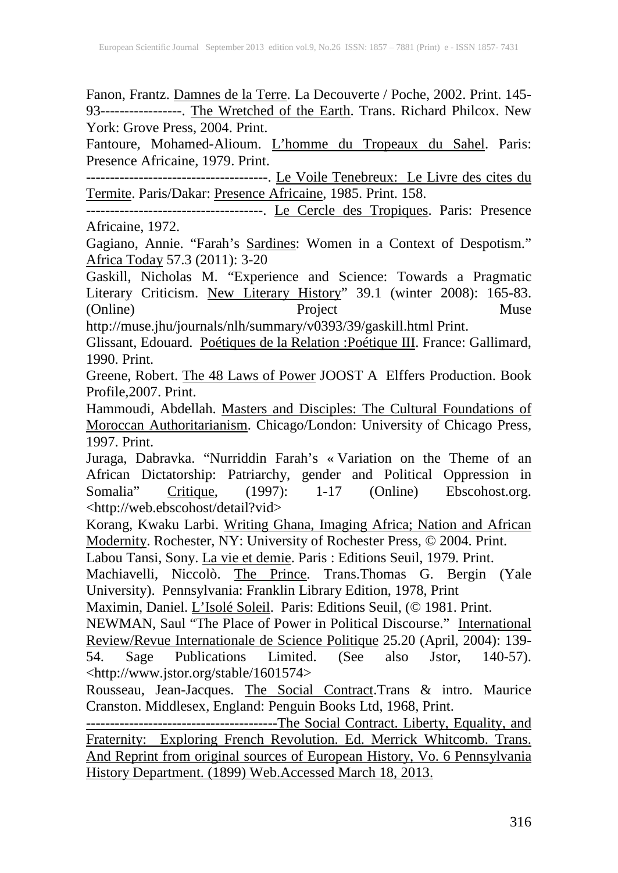Fanon, Frantz. Damnes de la Terre. La Decouverte / Poche, 2002. Print. 145- 93-----------------. The Wretched of the Earth. Trans. Richard Philcox. New York: Grove Press, 2004. Print.

Fantoure, Mohamed-Alioum. L'homme du Tropeaux du Sahel. Paris: Presence Africaine, 1979. Print.

--------------------------------------. Le Voile Tenebreux: Le Livre des cites du Termite. Paris/Dakar: Presence Africaine, 1985. Print. 158.

-------------------------------------. Le Cercle des Tropiques. Paris: Presence Africaine, 1972.

Gagiano, Annie. "Farah's Sardines: Women in a Context of Despotism." Africa Today 57.3 (2011): 3-20

Gaskill, Nicholas M. "Experience and Science: Towards a Pragmatic Literary Criticism. New Literary History" 39.1 (winter 2008): 165-83. (Online) Project Muse

http://muse.jhu/journals/nlh/summary/v0393/39/gaskill.html Print.

Glissant, Edouard. Poétiques de la Relation :Poétique III. France: Gallimard, 1990. Print.

Greene, Robert. The 48 Laws of Power JOOST A Elffers Production. Book Profile,2007. Print.

Hammoudi, Abdellah. Masters and Disciples: The Cultural Foundations of Moroccan Authoritarianism. Chicago/London: University of Chicago Press, 1997. Print.

Juraga, Dabravka. "Nurriddin Farah's « Variation on the Theme of an African Dictatorship: Patriarchy, gender and Political Oppression in Somalia" Critique, (1997): 1-17 (Online) Ebscohost.org. <http://web.ebscohost/detail?vid>

Korang, Kwaku Larbi. Writing Ghana, Imaging Africa; Nation and African Modernity. Rochester, NY: University of Rochester Press, © 2004. Print.

Labou Tansi, Sony. <u>La vie et demie</u>. Paris : Editions Seuil, 1979. Print.

Machiavelli, Niccolò. The Prince. Trans.Thomas G. Bergin (Yale University). Pennsylvania: Franklin Library Edition, 1978, Print

Maximin, Daniel. L'Isolé Soleil. Paris: Editions Seuil, (© 1981. Print.

NEWMAN, Saul "The Place of Power in Political Discourse." International Review/Revue Internationale de Science Politique 25.20 (April, 2004): 139- 54. Sage Publications Limited. (See also Jstor, 140-57). <http://www.jstor.org/stable/1601574>

Rousseau, Jean-Jacques. The Social Contract.Trans & intro. Maurice Cranston. Middlesex, England: Penguin Books Ltd, 1968, Print.

----------------------------------------The Social Contract. Liberty, Equality, and Fraternity: Exploring French Revolution. Ed. Merrick Whitcomb. Trans. And Reprint from original sources of European History*,* Vo. 6 Pennsylvania History Department. (1899) Web.Accessed March 18, 2013.